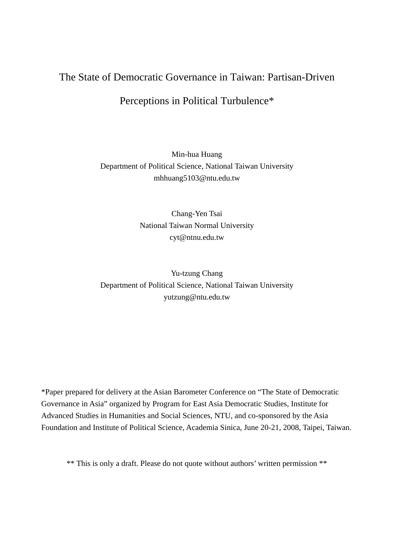# The State of Democratic Governance in Taiwan: Partisan-Driven

# Perceptions in Political Turbulence\*

# Min-hua Huang Department of Political Science, National Taiwan University mhhuang5103@ntu.edu.tw

Chang-Yen Tsai National Taiwan Normal University cyt@ntnu.edu.tw

Yu-tzung Chang Department of Political Science, National Taiwan University yutzung@ntu.edu.tw

\*Paper prepared for delivery at the Asian Barometer Conference on "The State of Democratic Governance in Asia" organized by Program for East Asia Democratic Studies, Institute for Advanced Studies in Humanities and Social Sciences, NTU, and co-sponsored by the Asia Foundation and Institute of Political Science, Academia Sinica, June 20-21, 2008, Taipei, Taiwan.

\*\* This is only a draft. Please do not quote without authors' written permission \*\*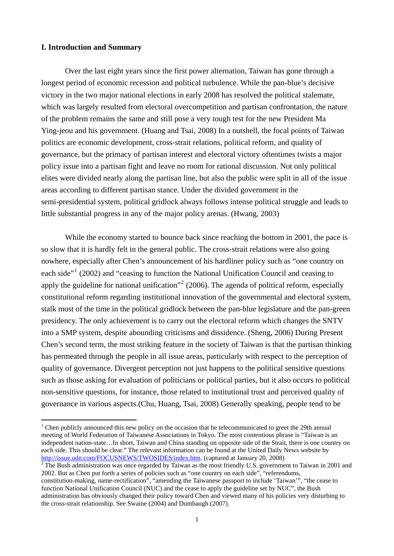#### **I. Introduction and Summary**

 $\overline{a}$ 

Over the last eight years since the first power alternation, Taiwan has gone through a longest period of economic recession and political turbulence. While the pan-blue's decisive victory in the two major national elections in early 2008 has resolved the political stalemate, which was largely resulted from electoral overcompetition and partisan confrontation, the nature of the problem remains the same and still pose a very tough test for the new President Ma Ying-jeou and his government. (Huang and Tsai, 2008) In a nutshell, the focal points of Taiwan politics are economic development, cross-strait relations, political reform, and quality of governance, but the primacy of partisan interest and electoral victory oftentimes twists a major policy issue into a partisan fight and leave no room for rational discussion. Not only political elites were divided nearly along the partisan line, but also the public were split in all of the issue areas according to different partisan stance. Under the divided government in the semi-presidential system, political gridlock always follows intense political struggle and leads to little substantial progress in any of the major policy arenas. (Hwang, 2003)

While the economy started to bounce back since reaching the bottom in 2001, the pace is so slow that it is hardly felt in the general public. The cross-strait relations were also going nowhere, especially after Chen's announcement of his hardliner policy such as "one country on each side"<sup>[1](#page-1-0)</sup> (2002) and "ceasing to function the National Unification Council and ceasing to apply the guideline for national unification"<sup>[2](#page-1-1)</sup> (2006). The agenda of political reform, especially constitutional reform regarding institutional innovation of the governmental and electoral system, stalk most of the time in the political gridlock between the pan-blue legislature and the pan-green presidency. The only achievement is to carry out the electoral reform which changes the SNTV into a SMP system, despite abounding criticisms and dissidence. (Sheng, 2006) During Present Chen's second term, the most striking feature in the society of Taiwan is that the partisan thinking has permeated through the people in all issue areas, particularly with respect to the perception of quality of governance. Divergent perception not just happens to the political sensitive questions such as those asking for evaluation of politicians or political parties, but it also occurs to political non-sensitive questions, for instance, those related to institutional trust and perceived quality of governance in various aspects.(Chu, Huang, Tsai, 2008) Generally speaking, people tend to be

<span id="page-1-0"></span><sup>&</sup>lt;sup>1</sup> Chen publicly announced this new policy on the occasion that he telecommunicated to greet the 29th annual meeting of World Federation of Taiwanese Associations in Tokyo. The most contentious phrase is "Taiwan is an independent nation-state…In short, Taiwan and China standing on opposite side of the Strait, there is one country on each side. This should be clear." The relevant information can be found at the United Daily News website by <http://issue.udn.com/FOCUSNEWS/TWOSIDES/index.htm>. (captured at January [2](http://issue.udn.com/FOCUSNEWS/TWOSIDES/index.htm)0, 2008)

<span id="page-1-1"></span> $2$  The Bush administration was once regarded by Taiwan as the most friendly U.S. government to Taiwan in 2001 and 2002. But as Chen put forth a series of policies such as "one country on each side", "referendums,

constitution-making, name-rectification", "amending the Taiwanese passport to include 'Taiwan'", "the cease to function National Unification Council (NUC) and the cease to apply the guideline set by NUC", the Bush administration has obviously changed their policy toward Chen and viewed many of his policies very disturbing to the cross-strait relationship. See Swaine (2004) and Dumbaugh (2007).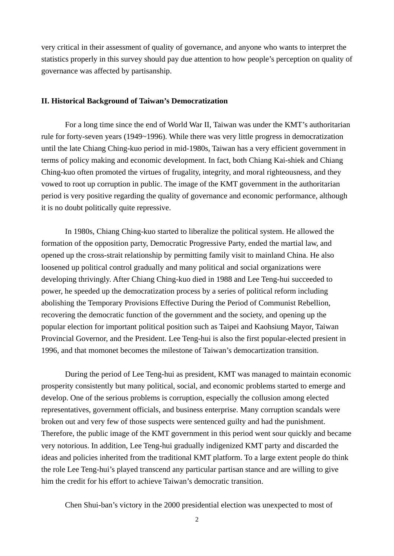very critical in their assessment of quality of governance, and anyone who wants to interpret the statistics properly in this survey should pay due attention to how people's perception on quality of governance was affected by partisanship.

#### **II. Historical Background of Taiwan's Democratization**

For a long time since the end of World War II, Taiwan was under the KMT's authoritarian rule for forty-seven years (1949~1996). While there was very little progress in democratization until the late Chiang Ching-kuo period in mid-1980s, Taiwan has a very efficient government in terms of policy making and economic development. In fact, both Chiang Kai-shiek and Chiang Ching-kuo often promoted the virtues of frugality, integrity, and moral righteousness, and they vowed to root up corruption in public. The image of the KMT government in the authoritarian period is very positive regarding the quality of governance and economic performance, although it is no doubt politically quite repressive.

 In 1980s, Chiang Ching-kuo started to liberalize the political system. He allowed the formation of the opposition party, Democratic Progressive Party, ended the martial law, and opened up the cross-strait relationship by permitting family visit to mainland China. He also loosened up political control gradually and many political and social organizations were developing thrivingly. After Chiang Ching-kuo died in 1988 and Lee Teng-hui succeeded to power, he speeded up the democratization process by a series of political reform including abolishing the [Temporary Provisions Effective During the Period of Communist Rebellion,](http://en.wikipedia.org/wiki/Temporary_Provisions_Effective_During_the_Period_of_Communist_Rebellion) recovering the democratic function of the government and the society, and opening up the popular election for important political position such as Taipei and Kaohsiung Mayor, Taiwan Provincial Governor, and the President. Lee Teng-hui is also the first popular-elected presient in 1996, and that momonet becomes the milestone of Taiwan's democartization transition.

During the period of Lee Teng-hui as president, KMT was managed to maintain economic prosperity consistently but many political, social, and economic problems started to emerge and develop. One of the serious problems is corruption, especially the collusion among elected representatives, government officials, and business enterprise. Many corruption scandals were broken out and very few of those suspects were sentenced guilty and had the punishment. Therefore, the public image of the KMT government in this period went sour quickly and became very notorious. In addition, Lee Teng-hui gradually indigenized KMT party and discarded the ideas and policies inherited from the traditional KMT platform. To a large extent people do think the role Lee Teng-hui's played transcend any particular partisan stance and are willing to give him the credit for his effort to achieve Taiwan's democratic transition.

Chen Shui-ban's victory in the 2000 presidential election was unexpected to most of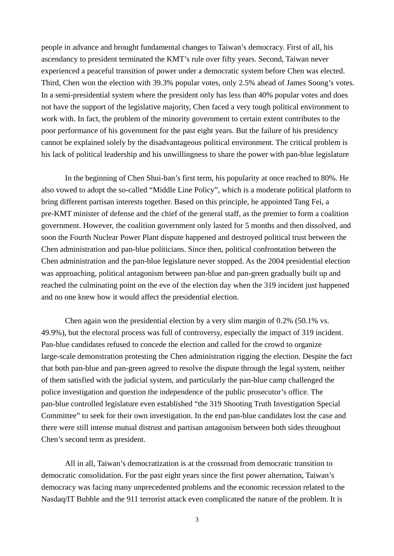people in advance and brought fundamental changes to Taiwan's democracy. First of all, his ascendancy to president terminated the KMT's rule over fifty years. Second, Taiwan never experienced a peaceful transition of power under a democratic system before Chen was elected. Third, Chen won the election with 39.3% popular votes, only 2.5% ahead of James Soong's votes. In a semi-presidential system where the president only has less than 40% popular votes and does not have the support of the legislative majority, Chen faced a very tough political environment to work with. In fact, the problem of the minority government to certain extent contributes to the poor performance of his government for the past eight years. But the failure of his presidency cannot be explained solely by the disadvantageous political environment. The critical problem is his lack of political leadership and his unwillingness to share the power with pan-blue legislature

In the beginning of Chen Shui-ban's first term, his popularity at once reached to 80%. He also vowed to adopt the so-called "Middle Line Policy", which is a moderate political platform to bring different partisan interests together. Based on this principle, he appointed Tang Fei, a pre-KMT minister of defense and the chief of the general staff, as the premier to form a coalition government. However, the coalition government only lasted for 5 months and then dissolved, and soon the Fourth Nuclear Power Plant dispute happened and destroyed political trust between the Chen administration and pan-blue politicians. Since then, political confrontation between the Chen administration and the pan-blue legislature never stopped. As the 2004 presidential election was approaching, political antagonism between pan-blue and pan-green gradually built up and reached the culminating point on the eve of the election day when the 319 incident just happened and no one knew how it would affect the presidential election.

Chen again won the presidential election by a very slim margin of 0.2% (50.1% vs. 49.9%), but the electoral process was full of controversy, especially the impact of 319 incident. Pan-blue candidates refused to concede the election and called for the crowd to organize large-scale demonstration protesting the Chen administration rigging the election. Despite the fact that both pan-blue and pan-green agreed to resolve the dispute through the legal system, neither of them satisfied with the judicial system, and particularly the pan-blue camp challenged the police investigation and question the independence of the public prosecutor's office. The pan-blue controlled legislature even established "the 319 Shooting Truth Investigation Special Committee" to seek for their own investigation. In the end pan-blue candidates lost the case and there were still intense mutual distrust and partisan antagonism between both sides throughout Chen's second term as president.

All in all, Taiwan's democratization is at the crossroad from democratic transition to democratic consolidation. For the past eight years since the first power alternation, Taiwan's democracy was facing many unprecedented problems and the economic recession related to the Nasdaq/IT Bubble and the 911 terrorist attack even complicated the nature of the problem. It is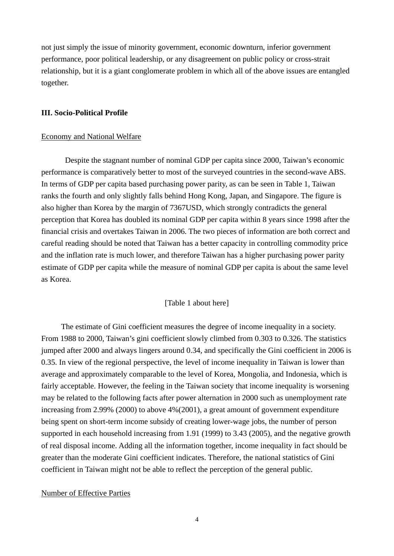not just simply the issue of minority government, economic downturn, inferior government performance, poor political leadership, or any disagreement on public policy or cross-strait relationship, but it is a giant conglomerate problem in which all of the above issues are entangled together.

#### **III. Socio-Political Profile**

#### Economy and National Welfare

Despite the stagnant number of nominal GDP per capita since 2000, Taiwan's economic performance is comparatively better to most of the surveyed countries in the second-wave ABS. In terms of GDP per capita based purchasing power parity, as can be seen in Table 1, Taiwan ranks the fourth and only slightly falls behind Hong Kong, Japan, and Singapore. The figure is also higher than Korea by the margin of 7367USD, which strongly contradicts the general perception that Korea has doubled its nominal GDP per capita within 8 years since 1998 after the financial crisis and overtakes Taiwan in 2006. The two pieces of information are both correct and careful reading should be noted that Taiwan has a better capacity in controlling commodity price and the inflation rate is much lower, and therefore Taiwan has a higher purchasing power parity estimate of GDP per capita while the measure of nominal GDP per capita is about the same level as Korea.

#### [Table 1 about here]

The estimate of Gini coefficient measures the degree of income inequality in a society. From 1988 to 2000, Taiwan's gini coefficient slowly climbed from 0.303 to 0.326. The statistics jumped after 2000 and always lingers around 0.34, and specifically the Gini coefficient in 2006 is 0.35. In view of the regional perspective, the level of income inequality in Taiwan is lower than average and approximately comparable to the level of Korea, Mongolia, and Indonesia, which is fairly acceptable. However, the feeling in the Taiwan society that income inequality is worsening may be related to the following facts after power alternation in 2000 such as unemployment rate increasing from 2.99% (2000) to above 4%(2001), a great amount of government expenditure being spent on short-term income subsidy of creating lower-wage jobs, the number of person supported in each household increasing from 1.91 (1999) to 3.43 (2005), and the negative growth of real disposal income. Adding all the information together, income inequality in fact should be greater than the moderate Gini coefficient indicates. Therefore, the national statistics of Gini coefficient in Taiwan might not be able to reflect the perception of the general public.

#### Number of Effective Parties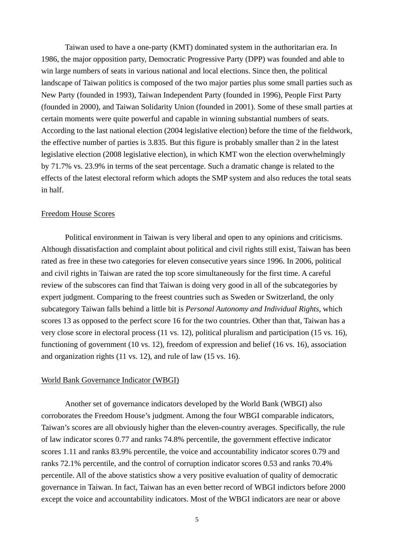Taiwan used to have a one-party (KMT) dominated system in the authoritarian era. In 1986, the major opposition party, Democratic Progressive Party (DPP) was founded and able to win large numbers of seats in various national and local elections. Since then, the political landscape of Taiwan politics is composed of the two major parties plus some small parties such as New Party (founded in 1993), Taiwan Independent Party (founded in 1996), People First Party (founded in 2000), and Taiwan Solidarity Union (founded in 2001). Some of these small parties at certain moments were quite powerful and capable in winning substantial numbers of seats. According to the last national election (2004 legislative election) before the time of the fieldwork, the effective number of parties is 3.835. But this figure is probably smaller than 2 in the latest legislative election (2008 legislative election), in which KMT won the election overwhelmingly by 71.7% vs. 23.9% in terms of the seat percentage. Such a dramatic change is related to the effects of the latest electoral reform which adopts the SMP system and also reduces the total seats in half.

### Freedom House Scores

Political environment in Taiwan is very liberal and open to any opinions and criticisms. Although dissatisfaction and complaint about political and civil rights still exist, Taiwan has been rated as free in these two categories for eleven consecutive years since 1996. In 2006, political and civil rights in Taiwan are rated the top score simultaneously for the first time. A careful review of the subscores can find that Taiwan is doing very good in all of the subcategories by expert judgment. Comparing to the freest countries such as Sweden or Switzerland, the only subcategory Taiwan falls behind a little bit is *Personal Autonomy and Individual Rights*, which scores 13 as opposed to the perfect score 16 for the two countries. Other than that, Taiwan has a very close score in electoral process (11 vs. 12), political pluralism and participation (15 vs. 16), functioning of government (10 vs. 12), freedom of expression and belief (16 vs. 16), association and organization rights (11 vs. 12), and rule of law (15 vs. 16).

#### World Bank Governance Indicator (WBGI)

 Another set of governance indicators developed by the World Bank (WBGI) also corroborates the Freedom House's judgment. Among the four WBGI comparable indicators, Taiwan's scores are all obviously higher than the eleven-country averages. Specifically, the rule of law indicator scores 0.77 and ranks 74.8% percentile, the government effective indicator scores 1.11 and ranks 83.9% percentile, the voice and accountability indicator scores 0.79 and ranks 72.1% percentile, and the control of corruption indicator scores 0.53 and ranks 70.4% percentile. All of the above statistics show a very positive evaluation of quality of democratic governance in Taiwan. In fact, Taiwan has an even better record of WBGI indictors before 2000 except the voice and accountability indicators. Most of the WBGI indicators are near or above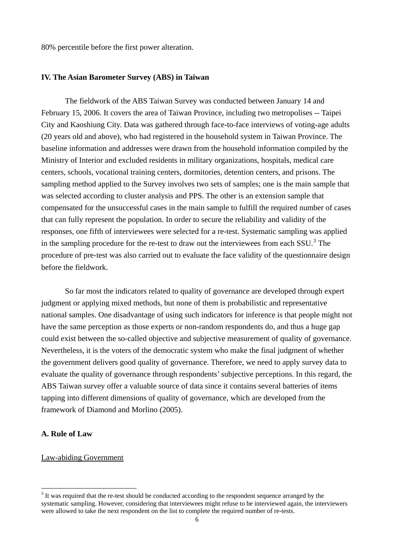80% percentile before the first power alteration.

#### **IV. The Asian Barometer Survey (ABS) in Taiwan**

The fieldwork of the ABS Taiwan Survey was conducted between January 14 and February 15, 2006. It covers the area of Taiwan Province, including two metropolises -- Taipei City and Kaoshiung City. Data was gathered through face-to-face interviews of voting-age adults (20 years old and above), who had registered in the household system in Taiwan Province. The baseline information and addresses were drawn from the household information compiled by the Ministry of Interior and excluded residents in military organizations, hospitals, medical care centers, schools, vocational training centers, dormitories, detention centers, and prisons. The sampling method applied to the Survey involves two sets of samples; one is the main sample that was selected according to cluster analysis and PPS. The other is an extension sample that compensated for the unsuccessful cases in the main sample to fulfill the required number of cases that can fully represent the population. In order to secure the reliability and validity of the responses, one fifth of interviewees were selected for a re-test. Systematic sampling was applied in the sampling procedure for the re-test to draw out the interviewees from each SSU.<sup>[3](#page-6-0)</sup> The procedure of pre-test was also carried out to evaluate the face validity of the questionnaire design before the fieldwork.

 So far most the indicators related to quality of governance are developed through expert judgment or applying mixed methods, but none of them is probabilistic and representative national samples. One disadvantage of using such indicators for inference is that people might not have the same perception as those experts or non-random respondents do, and thus a huge gap could exist between the so-called objective and subjective measurement of quality of governance. Nevertheless, it is the voters of the democratic system who make the final judgment of whether the government delivers good quality of governance. Therefore, we need to apply survey data to evaluate the quality of governance through respondents' subjective perceptions. In this regard, the ABS Taiwan survey offer a valuable source of data since it contains several batteries of items tapping into different dimensions of quality of governance, which are developed from the framework of Diamond and Morlino (2005).

## **A. Rule of Law**

 $\overline{a}$ 

#### Law-abiding Government

<span id="page-6-0"></span><sup>&</sup>lt;sup>3</sup> It was required that the re-test should be conducted according to the respondent sequence arranged by the systematic sampling. However, considering that interviewees might refuse to be interviewed again, the interviewers were allowed to take the next respondent on the list to complete the required number of re-tests.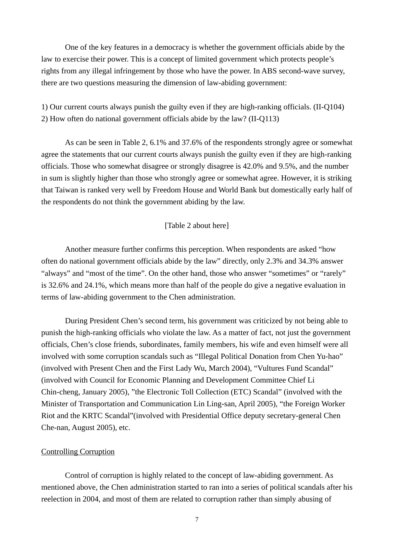One of the key features in a democracy is whether the government officials abide by the law to exercise their power. This is a concept of limited government which protects people's rights from any illegal infringement by those who have the power. In ABS second-wave survey, there are two questions measuring the dimension of law-abiding government:

1) Our current courts always punish the guilty even if they are high-ranking officials. (II-Q104) 2) How often do national government officials abide by the law? (II-Q113)

As can be seen in Table 2, 6.1% and 37.6% of the respondents strongly agree or somewhat agree the statements that our current courts always punish the guilty even if they are high-ranking officials. Those who somewhat disagree or strongly disagree is 42.0% and 9.5%, and the number in sum is slightly higher than those who strongly agree or somewhat agree. However, it is striking that Taiwan is ranked very well by Freedom House and World Bank but domestically early half of the respondents do not think the government abiding by the law.

#### [Table 2 about here]

 Another measure further confirms this perception. When respondents are asked "how often do national government officials abide by the law" directly, only 2.3% and 34.3% answer "always" and "most of the time". On the other hand, those who answer "sometimes" or "rarely" is 32.6% and 24.1%, which means more than half of the people do give a negative evaluation in terms of law-abiding government to the Chen administration.

During President Chen's second term, his government was criticized by not being able to punish the high-ranking officials who violate the law. As a matter of fact, not just the government officials, Chen's close friends, subordinates, family members, his wife and even himself were all involved with some corruption scandals such as "Illegal Political Donation from Chen Yu-hao" (involved with Present Chen and the First Lady Wu, March 2004), "Vultures Fund Scandal" (involved with Council for Economic Planning and Development Committee Chief Li Chin-cheng, January 2005), "the Electronic Toll Collection (ETC) Scandal" (involved with the Minister of Transportation and Communication Lin Ling-san, April 2005), "the Foreign Worker Riot and the KRTC Scandal"(involved with Presidential Office deputy secretary-general Chen Che-nan, August 2005), etc.

### Controlling Corruption

Control of corruption is highly related to the concept of law-abiding government. As mentioned above, the Chen administration started to ran into a series of political scandals after his reelection in 2004, and most of them are related to corruption rather than simply abusing of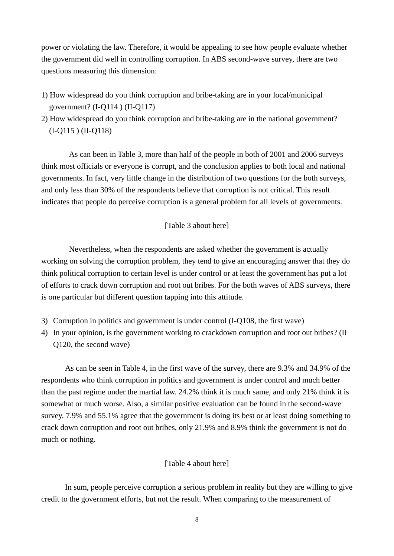power or violating the law. Therefore, it would be appealing to see how people evaluate whether the government did well in controlling corruption. In ABS second-wave survey, there are two questions measuring this dimension:

- 1) How widespread do you think corruption and bribe-taking are in your local/municipal government? (I-Q114 ) (II-Q117)
- 2) How widespread do you think corruption and bribe-taking are in the national government? (I-Q115 ) (II-Q118)

As can been in Table 3, more than half of the people in both of 2001 and 2006 surveys think most officials or everyone is corrupt, and the conclusion applies to both local and national governments. In fact, very little change in the distribution of two questions for the both surveys, and only less than 30% of the respondents believe that corruption is not critical. This result indicates that people do perceive corruption is a general problem for all levels of governments.

### [Table 3 about here]

Nevertheless, when the respondents are asked whether the government is actually working on solving the corruption problem, they tend to give an encouraging answer that they do think political corruption to certain level is under control or at least the government has put a lot of efforts to crack down corruption and root out bribes. For the both waves of ABS surveys, there is one particular but different question tapping into this attitude.

- 3) Corruption in politics and government is under control (I-Q108, the first wave)
- 4) In your opinion, is the government working to crackdown corruption and root out bribes? (II Q120, the second wave)

As can be seen in Table 4, in the first wave of the survey, there are 9.3% and 34.9% of the respondents who think corruption in politics and government is under control and much better than the past regime under the martial law. 24.2% think it is much same, and only 21% think it is somewhat or much worse. Also, a similar positive evaluation can be found in the second-wave survey. 7.9% and 55.1% agree that the government is doing its best or at least doing something to crack down corruption and root out bribes, only 21.9% and 8.9% think the government is not do much or nothing.

### [Table 4 about here]

In sum, people perceive corruption a serious problem in reality but they are willing to give credit to the government efforts, but not the result. When comparing to the measurement of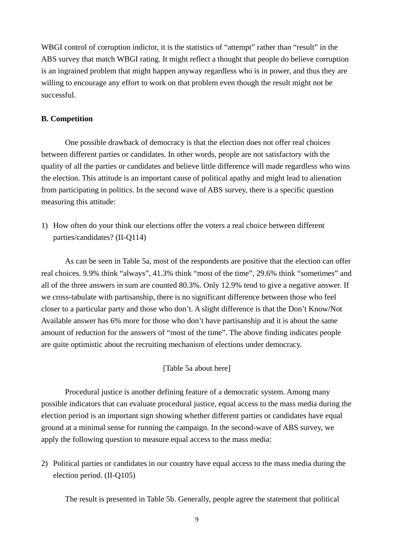WBGI control of corruption indictor, it is the statistics of "attempt" rather than "result" in the ABS survey that match WBGI rating. It might reflect a thought that people do believe corruption is an ingrained problem that might happen anyway regardless who is in power, and thus they are willing to encourage any effort to work on that problem even though the result might not be successful.

### **B. Competition**

One possible drawback of democracy is that the election does not offer real choices between different parties or candidates. In other words, people are not satisfactory with the quality of all the parties or candidates and believe little difference will made regardless who wins the election. This attitude is an important cause of political apathy and might lead to alienation from participating in politics. In the second wave of ABS survey, there is a specific question measuring this attitude:

1) How often do your think our elections offer the voters a real choice between different parties/candidates? (II-Q114)

As can be seen in Table 5a, most of the respondents are positive that the election can offer real choices. 9.9% think "always", 41.3% think "most of the time", 29.6% think "sometimes" and all of the three answers in sum are counted 80.3%. Only 12.9% tend to give a negative answer. If we cross-tabulate with partisanship, there is no significant difference between those who feel closer to a particular party and those who don't. A slight difference is that the Don't Know/Not Available answer has 6% more for those who don't have partisanship and it is about the same amount of reduction for the answers of "most of the time". The above finding indicates people are quite optimistic about the recruiting mechanism of elections under democracy.

### [Table 5a about here]

Procedural justice is another defining feature of a democratic system. Among many possible indicators that can evaluate procedural justice, equal access to the mass media during the election period is an important sign showing whether different parties or candidates have equal ground at a minimal sense for running the campaign. In the second-wave of ABS survey, we apply the following question to measure equal access to the mass media:

2) Political parties or candidates in our country have equal access to the mass media during the election period. (II-Q105)

The result is presented in Table 5b. Generally, people agree the statement that political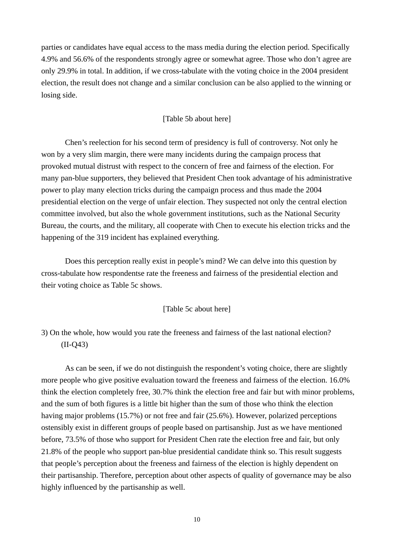parties or candidates have equal access to the mass media during the election period. Specifically 4.9% and 56.6% of the respondents strongly agree or somewhat agree. Those who don't agree are only 29.9% in total. In addition, if we cross-tabulate with the voting choice in the 2004 president election, the result does not change and a similar conclusion can be also applied to the winning or losing side.

### [Table 5b about here]

Chen's reelection for his second term of presidency is full of controversy. Not only he won by a very slim margin, there were many incidents during the campaign process that provoked mutual distrust with respect to the concern of free and fairness of the election. For many pan-blue supporters, they believed that President Chen took advantage of his administrative power to play many election tricks during the campaign process and thus made the 2004 presidential election on the verge of unfair election. They suspected not only the central election committee involved, but also the whole government institutions, such as the National Security Bureau, the courts, and the military, all cooperate with Chen to execute his election tricks and the happening of the 319 incident has explained everything.

 Does this perception really exist in people's mind? We can delve into this question by cross-tabulate how respondentse rate the freeness and fairness of the presidential election and their voting choice as Table 5c shows.

#### [Table 5c about here]

3) On the whole, how would you rate the freeness and fairness of the last national election? (II-Q43)

As can be seen, if we do not distinguish the respondent's voting choice, there are slightly more people who give positive evaluation toward the freeness and fairness of the election. 16.0% think the election completely free, 30.7% think the election free and fair but with minor problems, and the sum of both figures is a little bit higher than the sum of those who think the election having major problems (15.7%) or not free and fair (25.6%). However, polarized perceptions ostensibly exist in different groups of people based on partisanship. Just as we have mentioned before, 73.5% of those who support for President Chen rate the election free and fair, but only 21.8% of the people who support pan-blue presidential candidate think so. This result suggests that people's perception about the freeness and fairness of the election is highly dependent on their partisanship. Therefore, perception about other aspects of quality of governance may be also highly influenced by the partisanship as well.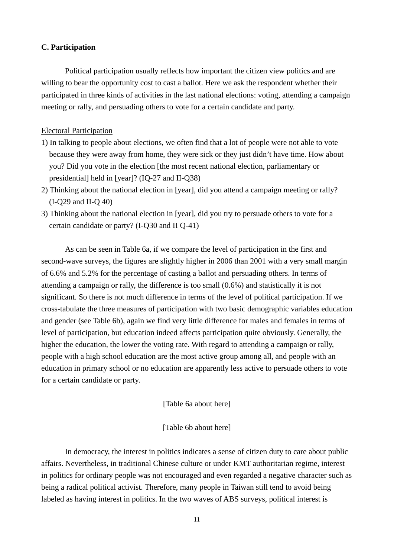### **C. Participation**

Political participation usually reflects how important the citizen view politics and are willing to bear the opportunity cost to cast a ballot. Here we ask the respondent whether their participated in three kinds of activities in the last national elections: voting, attending a campaign meeting or rally, and persuading others to vote for a certain candidate and party.

### Electoral Participation

- 1) In talking to people about elections, we often find that a lot of people were not able to vote because they were away from home, they were sick or they just didn't have time. How about you? Did you vote in the election [the most recent national election, parliamentary or presidential] held in [year]? (IQ-27 and II-Q38)
- 2) Thinking about the national election in [year], did you attend a campaign meeting or rally? (I-Q29 and II-Q 40)
- 3) Thinking about the national election in [year], did you try to persuade others to vote for a certain candidate or party? (I-Q30 and II Q-41)

As can be seen in Table 6a, if we compare the level of participation in the first and second-wave surveys, the figures are slightly higher in 2006 than 2001 with a very small margin of 6.6% and 5.2% for the percentage of casting a ballot and persuading others. In terms of attending a campaign or rally, the difference is too small (0.6%) and statistically it is not significant. So there is not much difference in terms of the level of political participation. If we cross-tabulate the three measures of participation with two basic demographic variables education and gender (see Table 6b), again we find very little difference for males and females in terms of level of participation, but education indeed affects participation quite obviously. Generally, the higher the education, the lower the voting rate. With regard to attending a campaign or rally, people with a high school education are the most active group among all, and people with an education in primary school or no education are apparently less active to persuade others to vote for a certain candidate or party.

[Table 6a about here]

#### [Table 6b about here]

In democracy, the interest in politics indicates a sense of citizen duty to care about public affairs. Nevertheless, in traditional Chinese culture or under KMT authoritarian regime, interest in politics for ordinary people was not encouraged and even regarded a negative character such as being a radical political activist. Therefore, many people in Taiwan still tend to avoid being labeled as having interest in politics. In the two waves of ABS surveys, political interest is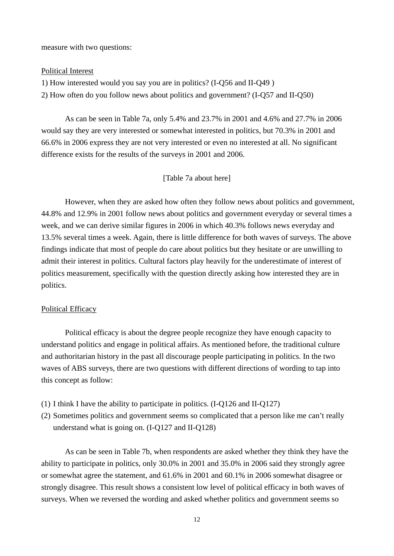measure with two questions:

#### Political Interest

1) How interested would you say you are in politics? (I-Q56 and II-Q49 ) 2) How often do you follow news about politics and government? (I-Q57 and II-Q50)

As can be seen in Table 7a, only 5.4% and 23.7% in 2001 and 4.6% and 27.7% in 2006 would say they are very interested or somewhat interested in politics, but 70.3% in 2001 and 66.6% in 2006 express they are not very interested or even no interested at all. No significant difference exists for the results of the surveys in 2001 and 2006.

#### [Table 7a about here]

However, when they are asked how often they follow news about politics and government, 44.8% and 12.9% in 2001 follow news about politics and government everyday or several times a week, and we can derive similar figures in 2006 in which 40.3% follows news everyday and 13.5% several times a week. Again, there is little difference for both waves of surveys. The above findings indicate that most of people do care about politics but they hesitate or are unwilling to admit their interest in politics. Cultural factors play heavily for the underestimate of interest of politics measurement, specifically with the question directly asking how interested they are in politics.

#### Political Efficacy

Political efficacy is about the degree people recognize they have enough capacity to understand politics and engage in political affairs. As mentioned before, the traditional culture and authoritarian history in the past all discourage people participating in politics. In the two waves of ABS surveys, there are two questions with different directions of wording to tap into this concept as follow:

- (1) I think I have the ability to participate in politics. (I-Q126 and II-Q127)
- (2) Sometimes politics and government seems so complicated that a person like me can't really understand what is going on. (I-Q127 and II-Q128)

As can be seen in Table 7b, when respondents are asked whether they think they have the ability to participate in politics, only 30.0% in 2001 and 35.0% in 2006 said they strongly agree or somewhat agree the statement, and 61.6% in 2001 and 60.1% in 2006 somewhat disagree or strongly disagree. This result shows a consistent low level of political efficacy in both waves of surveys. When we reversed the wording and asked whether politics and government seems so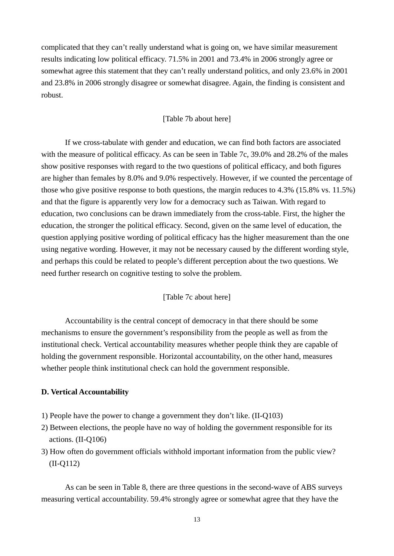complicated that they can't really understand what is going on, we have similar measurement results indicating low political efficacy. 71.5% in 2001 and 73.4% in 2006 strongly agree or somewhat agree this statement that they can't really understand politics, and only 23.6% in 2001 and 23.8% in 2006 strongly disagree or somewhat disagree. Again, the finding is consistent and robust.

### [Table 7b about here]

If we cross-tabulate with gender and education, we can find both factors are associated with the measure of political efficacy. As can be seen in Table 7c, 39.0% and 28.2% of the males show positive responses with regard to the two questions of political efficacy, and both figures are higher than females by 8.0% and 9.0% respectively. However, if we counted the percentage of those who give positive response to both questions, the margin reduces to 4.3% (15.8% vs. 11.5%) and that the figure is apparently very low for a democracy such as Taiwan. With regard to education, two conclusions can be drawn immediately from the cross-table. First, the higher the education, the stronger the political efficacy. Second, given on the same level of education, the question applying positive wording of political efficacy has the higher measurement than the one using negative wording. However, it may not be necessary caused by the different wording style, and perhaps this could be related to people's different perception about the two questions. We need further research on cognitive testing to solve the problem.

### [Table 7c about here]

Accountability is the central concept of democracy in that there should be some mechanisms to ensure the government's responsibility from the people as well as from the institutional check. Vertical accountability measures whether people think they are capable of holding the government responsible. Horizontal accountability, on the other hand, measures whether people think institutional check can hold the government responsible.

### **D. Vertical Accountability**

- 1) People have the power to change a government they don't like. (II-Q103)
- 2) Between elections, the people have no way of holding the government responsible for its actions. (II-Q106)
- 3) How often do government officials withhold important information from the public view? (II-Q112)

As can be seen in Table 8, there are three questions in the second-wave of ABS surveys measuring vertical accountability. 59.4% strongly agree or somewhat agree that they have the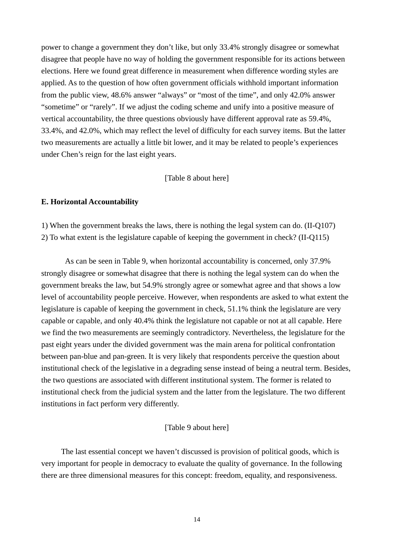power to change a government they don't like, but only 33.4% strongly disagree or somewhat disagree that people have no way of holding the government responsible for its actions between elections. Here we found great difference in measurement when difference wording styles are applied. As to the question of how often government officials withhold important information from the public view, 48.6% answer "always" or "most of the time", and only 42.0% answer "sometime" or "rarely". If we adjust the coding scheme and unify into a positive measure of vertical accountability, the three questions obviously have different approval rate as 59.4%, 33.4%, and 42.0%, which may reflect the level of difficulty for each survey items. But the latter two measurements are actually a little bit lower, and it may be related to people's experiences under Chen's reign for the last eight years.

#### [Table 8 about here]

#### **E. Horizontal Accountability**

1) When the government breaks the laws, there is nothing the legal system can do. (II-Q107) 2) To what extent is the legislature capable of keeping the government in check? (II-Q115)

As can be seen in Table 9, when horizontal accountability is concerned, only 37.9% strongly disagree or somewhat disagree that there is nothing the legal system can do when the government breaks the law, but 54.9% strongly agree or somewhat agree and that shows a low level of accountability people perceive. However, when respondents are asked to what extent the legislature is capable of keeping the government in check, 51.1% think the legislature are very capable or capable, and only 40.4% think the legislature not capable or not at all capable. Here we find the two measurements are seemingly contradictory. Nevertheless, the legislature for the past eight years under the divided government was the main arena for political confrontation between pan-blue and pan-green. It is very likely that respondents perceive the question about institutional check of the legislative in a degrading sense instead of being a neutral term. Besides, the two questions are associated with different institutional system. The former is related to institutional check from the judicial system and the latter from the legislature. The two different institutions in fact perform very differently.

#### [Table 9 about here]

The last essential concept we haven't discussed is provision of political goods, which is very important for people in democracy to evaluate the quality of governance. In the following there are three dimensional measures for this concept: freedom, equality, and responsiveness.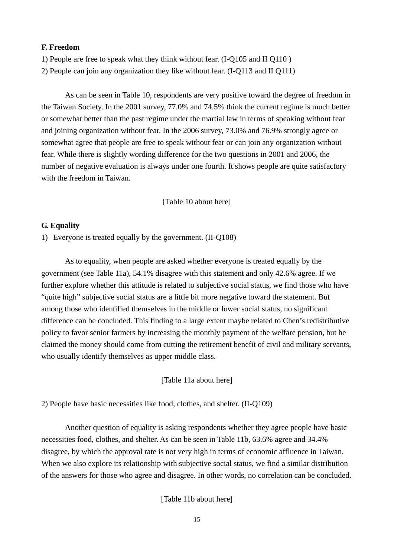### **F. Freedom**

1) People are free to speak what they think without fear. (I-Q105 and II Q110 )

2) People can join any organization they like without fear. (I-Q113 and II Q111)

As can be seen in Table 10, respondents are very positive toward the degree of freedom in the Taiwan Society. In the 2001 survey, 77.0% and 74.5% think the current regime is much better or somewhat better than the past regime under the martial law in terms of speaking without fear and joining organization without fear. In the 2006 survey, 73.0% and 76.9% strongly agree or somewhat agree that people are free to speak without fear or can join any organization without fear. While there is slightly wording difference for the two questions in 2001 and 2006, the number of negative evaluation is always under one fourth. It shows people are quite satisfactory with the freedom in Taiwan.

[Table 10 about here]

#### **G. Equality**

1) Everyone is treated equally by the government. (II-Q108)

As to equality, when people are asked whether everyone is treated equally by the government (see Table 11a), 54.1% disagree with this statement and only 42.6% agree. If we further explore whether this attitude is related to subjective social status, we find those who have "quite high" subjective social status are a little bit more negative toward the statement. But among those who identified themselves in the middle or lower social status, no significant difference can be concluded. This finding to a large extent maybe related to Chen's redistributive policy to favor senior farmers by increasing the monthly payment of the welfare pension, but he claimed the money should come from cutting the retirement benefit of civil and military servants, who usually identify themselves as upper middle class.

[Table 11a about here]

2) People have basic necessities like food, clothes, and shelter. (II-Q109)

Another question of equality is asking respondents whether they agree people have basic necessities food, clothes, and shelter. As can be seen in Table 11b, 63.6% agree and 34.4% disagree, by which the approval rate is not very high in terms of economic affluence in Taiwan. When we also explore its relationship with subjective social status, we find a similar distribution of the answers for those who agree and disagree. In other words, no correlation can be concluded.

[Table 11b about here]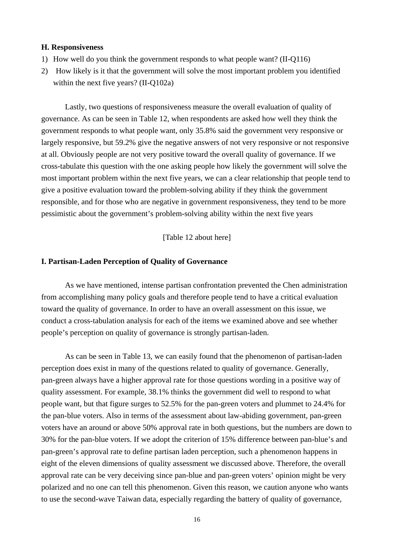#### **H. Responsiveness**

- 1) How well do you think the government responds to what people want? (II-Q116)
- 2) How likely is it that the government will solve the most important problem you identified within the next five years? (II-Q102a)

Lastly, two questions of responsiveness measure the overall evaluation of quality of governance. As can be seen in Table 12, when respondents are asked how well they think the government responds to what people want, only 35.8% said the government very responsive or largely responsive, but 59.2% give the negative answers of not very responsive or not responsive at all. Obviously people are not very positive toward the overall quality of governance. If we cross-tabulate this question with the one asking people how likely the government will solve the most important problem within the next five years, we can a clear relationship that people tend to give a positive evaluation toward the problem-solving ability if they think the government responsible, and for those who are negative in government responsiveness, they tend to be more pessimistic about the government's problem-solving ability within the next five years

[Table 12 about here]

#### **I. Partisan-Laden Perception of Quality of Governance**

As we have mentioned, intense partisan confrontation prevented the Chen administration from accomplishing many policy goals and therefore people tend to have a critical evaluation toward the quality of governance. In order to have an overall assessment on this issue, we conduct a cross-tabulation analysis for each of the items we examined above and see whether people's perception on quality of governance is strongly partisan-laden.

 As can be seen in Table 13, we can easily found that the phenomenon of partisan-laden perception does exist in many of the questions related to quality of governance. Generally, pan-green always have a higher approval rate for those questions wording in a positive way of quality assessment. For example, 38.1% thinks the government did well to respond to what people want, but that figure surges to 52.5% for the pan-green voters and plummet to 24.4% for the pan-blue voters. Also in terms of the assessment about law-abiding government, pan-green voters have an around or above 50% approval rate in both questions, but the numbers are down to 30% for the pan-blue voters. If we adopt the criterion of 15% difference between pan-blue's and pan-green's approval rate to define partisan laden perception, such a phenomenon happens in eight of the eleven dimensions of quality assessment we discussed above. Therefore, the overall approval rate can be very deceiving since pan-blue and pan-green voters' opinion might be very polarized and no one can tell this phenomenon. Given this reason, we caution anyone who wants to use the second-wave Taiwan data, especially regarding the battery of quality of governance,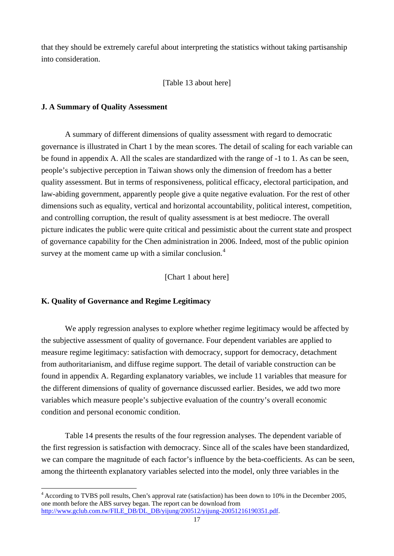that they should be extremely careful about interpreting the statistics without taking partisanship into consideration.

### [Table 13 about here]

### **J. A Summary of Quality Assessment**

A summary of different dimensions of quality assessment with regard to democratic governance is illustrated in Chart 1 by the mean scores. The detail of scaling for each variable can be found in appendix A. All the scales are standardized with the range of -1 to 1. As can be seen, people's subjective perception in Taiwan shows only the dimension of freedom has a better quality assessment. But in terms of responsiveness, political efficacy, electoral participation, and law-abiding government, apparently people give a quite negative evaluation. For the rest of other dimensions such as equality, vertical and horizontal accountability, political interest, competition, and controlling corruption, the result of quality assessment is at best mediocre. The overall picture indicates the public were quite critical and pessimistic about the current state and prospect of governance capability for the Chen administration in 2006. Indeed, most of the public opinion survey at the moment came up with a similar conclusion. $4$ 

[Chart 1 about here]

### **K. Quality of Governance and Regime Legitimacy**

 $\overline{a}$ 

We apply regression analyses to explore whether regime legitimacy would be affected by the subjective assessment of quality of governance. Four dependent variables are applied to measure regime legitimacy: satisfaction with democracy, support for democracy, detachment from authoritarianism, and diffuse regime support. The detail of variable construction can be found in appendix A. Regarding explanatory variables, we include 11 variables that measure for the different dimensions of quality of governance discussed earlier. Besides, we add two more variables which measure people's subjective evaluation of the country's overall economic condition and personal economic condition.

Table 14 presents the results of the four regression analyses. The dependent variable of the first regression is satisfaction with democracy. Since all of the scales have been standardized, we can compare the magnitude of each factor's influence by the beta-coefficients. As can be seen, among the thirteenth explanatory variables selected into the model, only three variables in the

<span id="page-17-0"></span><sup>&</sup>lt;sup>4</sup> According to TVBS poll results, Chen's approval rate (satisfaction) has been down to 10% in the December 2005, one month before the ABS survey began. The report can be download from [http://www.gclub.com.tw/FILE\\_DB/DL\\_DB/yijung/200512/yijung-20051216190351.pdf.](http://www.gclub.com.tw/FILE_DB/DL_DB/yijung/200512/yijung-20051216190351.pdf)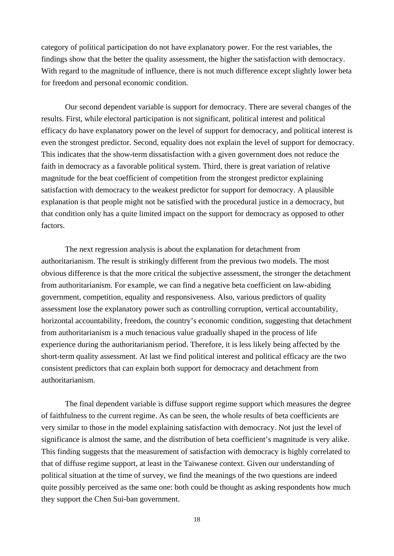category of political participation do not have explanatory power. For the rest variables, the findings show that the better the quality assessment, the higher the satisfaction with democracy. With regard to the magnitude of influence, there is not much difference except slightly lower beta for freedom and personal economic condition.

Our second dependent variable is support for democracy. There are several changes of the results. First, while electoral participation is not significant, political interest and political efficacy do have explanatory power on the level of support for democracy, and political interest is even the strongest predictor. Second, equality does not explain the level of support for democracy. This indicates that the show-term dissatisfaction with a given government does not reduce the faith in democracy as a favorable political system. Third, there is great variation of relative magnitude for the beat coefficient of competition from the strongest predictor explaining satisfaction with democracy to the weakest predictor for support for democracy. A plausible explanation is that people might not be satisfied with the procedural justice in a democracy, but that condition only has a quite limited impact on the support for democracy as opposed to other factors.

The next regression analysis is about the explanation for detachment from authoritarianism. The result is strikingly different from the previous two models. The most obvious difference is that the more critical the subjective assessment, the stronger the detachment from authoritarianism. For example, we can find a negative beta coefficient on law-abiding government, competition, equality and responsiveness. Also, various predictors of quality assessment lose the explanatory power such as controlling corruption, vertical accountability, horizontal accountability, freedom, the country's economic condition, suggesting that detachment from authoritarianism is a much tenacious value gradually shaped in the process of life experience during the authoritarianism period. Therefore, it is less likely being affected by the short-term quality assessment. At last we find political interest and political efficacy are the two consistent predictors that can explain both support for democracy and detachment from authoritarianism.

The final dependent variable is diffuse support regime support which measures the degree of faithfulness to the current regime. As can be seen, the whole results of beta coefficients are very similar to those in the model explaining satisfaction with democracy. Not just the level of significance is almost the same, and the distribution of beta coefficient's magnitude is very alike. This finding suggests that the measurement of satisfaction with democracy is highly correlated to that of diffuse regime support, at least in the Taiwanese context. Given our understanding of political situation at the time of survey, we find the meanings of the two questions are indeed quite possibly perceived as the same one: both could be thought as asking respondents how much they support the Chen Sui-ban government.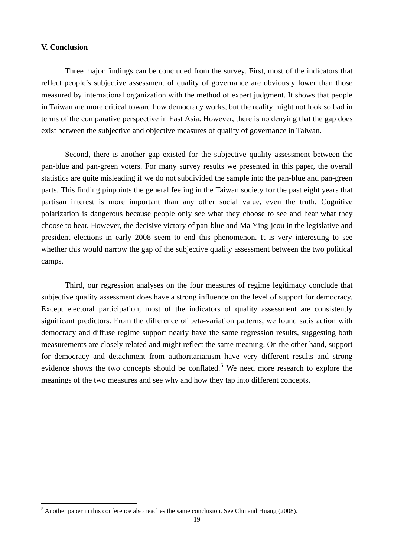### **V. Conclusion**

 $\overline{a}$ 

Three major findings can be concluded from the survey. First, most of the indicators that reflect people's subjective assessment of quality of governance are obviously lower than those measured by international organization with the method of expert judgment. It shows that people in Taiwan are more critical toward how democracy works, but the reality might not look so bad in terms of the comparative perspective in East Asia. However, there is no denying that the gap does exist between the subjective and objective measures of quality of governance in Taiwan.

 Second, there is another gap existed for the subjective quality assessment between the pan-blue and pan-green voters. For many survey results we presented in this paper, the overall statistics are quite misleading if we do not subdivided the sample into the pan-blue and pan-green parts. This finding pinpoints the general feeling in the Taiwan society for the past eight years that partisan interest is more important than any other social value, even the truth. Cognitive polarization is dangerous because people only see what they choose to see and hear what they choose to hear. However, the decisive victory of pan-blue and Ma Ying-jeou in the legislative and president elections in early 2008 seem to end this phenomenon. It is very interesting to see whether this would narrow the gap of the subjective quality assessment between the two political camps.

 Third, our regression analyses on the four measures of regime legitimacy conclude that subjective quality assessment does have a strong influence on the level of support for democracy. Except electoral participation, most of the indicators of quality assessment are consistently significant predictors. From the difference of beta-variation patterns, we found satisfaction with democracy and diffuse regime support nearly have the same regression results, suggesting both measurements are closely related and might reflect the same meaning. On the other hand, support for democracy and detachment from authoritarianism have very different results and strong evidence shows the two concepts should be conflated.<sup>[5](#page-19-0)</sup> We need more research to explore the meanings of the two measures and see why and how they tap into different concepts.

<span id="page-19-0"></span> $<sup>5</sup>$  Another paper in this conference also reaches the same conclusion. See Chu and Huang (2008).</sup>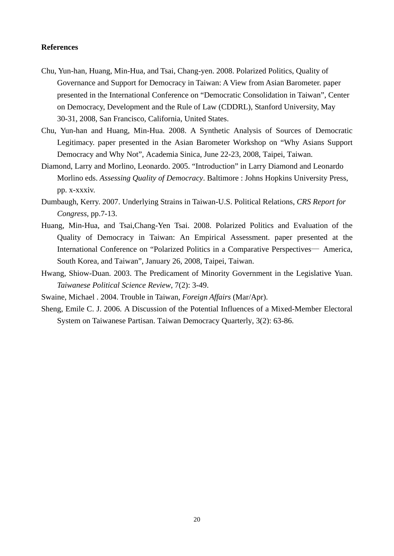### **References**

- Chu, Yun-han, Huang, Min-Hua, and Tsai, Chang-yen. 2008. Polarized Politics, Quality of Governance and Support for Democracy in Taiwan: A View from Asian Barometer. paper presented in the International Conference on "Democratic Consolidation in Taiwan", Center on Democracy, Development and the Rule of Law (CDDRL), Stanford University, May 30-31, 2008, San Francisco, California, United States.
- Chu, Yun-han and Huang, Min-Hua. 2008. A Synthetic Analysis of Sources of Democratic Legitimacy. paper presented in the Asian Barometer Workshop on "Why Asians Support Democracy and Why Not", Academia Sinica, June 22-23, 2008, Taipei, Taiwan.
- Diamond, Larry and Morlino, Leonardo. 2005. "Introduction" in Larry Diamond and Leonardo Morlino eds. *Assessing Quality of Democracy*. Baltimore : Johns Hopkins University Press, pp. x-xxxiv.
- Dumbaugh, Kerry. 2007. Underlying Strains in Taiwan-U.S. Political Relations, *CRS Report for Congress*, pp.7-13.
- Huang, Min-Hua, and Tsai,Chang-Yen Tsai. 2008. Polarized Politics and Evaluation of the Quality of Democracy in Taiwan: An Empirical Assessment. paper presented at the International Conference on "Polarized Politics in a Comparative Perspectives— America, South Korea, and Taiwan", January 26, 2008, Taipei, Taiwan.
- Hwang, Shiow-Duan. 2003. The Predicament of Minority Government in the Legislative Yuan. *Taiwanese Political Science Review*, 7(2): 3-49.

Swaine, Michael . 2004. Trouble in Taiwan, *Foreign Affairs* (Mar/Apr).

Sheng, Emile C. J. 2006. A Discussion of the Potential Influences of a Mixed-Member Electoral System on Taiwanese Partisan. Taiwan Democracy Quarterly, 3(2): 63-86.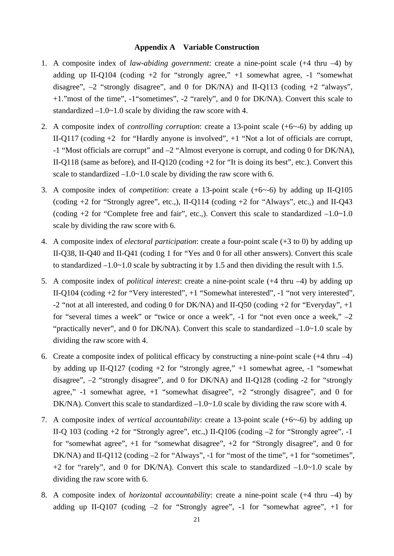#### **Appendix A Variable Construction**

- 1. A composite index of *law-abiding government*: create a nine-point scale (+4 thru –4) by adding up II-Q104 (coding  $+2$  for "strongly agree,"  $+1$  somewhat agree,  $-1$  "somewhat disagree",  $-2$  "strongly disagree", and 0 for DK/NA) and II-Q113 (coding  $+2$  "always", +1."most of the time", -1"sometimes", -2 "rarely", and 0 for DK/NA). Convert this scale to standardized  $-1.0$ ~1.0 scale by dividing the raw score with 4.
- 2. A composite index of *controlling corruption*: create a 13-point scale (+6~-6) by adding up II-Q117 (coding +2 for "Hardly anyone is involved", +1 "Not a lot of officials are corrupt, -1 "Most officials are corrupt" and –2 "Almost everyone is corrupt, and coding 0 for DK/NA), II-Q118 (same as before), and II-Q120 (coding +2 for "It is doing its best", etc.). Convert this scale to standardized  $-1.0$  and  $-1.0$  scale by dividing the raw score with 6.
- 3. A composite index of *competition*: create a 13-point scale (+6~-6) by adding up II-Q105 (coding +2 for "Strongly agree", etc.,), II-Q114 (coding +2 for "Always", etc.,) and II-Q43 (coding  $+2$  for "Complete free and fair", etc.,). Convert this scale to standardized  $-1.0 \sim 1.0$ scale by dividing the raw score with 6.
- 4. A composite index of *electoral participation*: create a four-point scale (+3 to 0) by adding up II-Q38, II-Q40 and II-Q41 (coding 1 for "Yes and 0 for all other answers). Convert this scale to standardized  $-1.0-1.0$  scale by subtracting it by 1.5 and then dividing the result with 1.5.
- 5. A composite index of *political interest*: create a nine-point scale (+4 thru –4) by adding up II-Q104 (coding +2 for "Very interested", +1 "Somewhat interested", -1 "not very interested", -2 "not at all interested, and coding 0 for DK/NA) and II-Q50 (coding +2 for "Everyday", +1 for "several times a week" or "twice or once a week",  $-1$  for "not even once a week,"  $-2$ "practically never", and 0 for DK/NA). Convert this scale to standardized  $-1.0 \sim 1.0$  scale by dividing the raw score with 4.
- 6. Create a composite index of political efficacy by constructing a nine-point scale (+4 thru –4) by adding up II-Q127 (coding +2 for "strongly agree," +1 somewhat agree, -1 "somewhat disagree", –2 "strongly disagree", and 0 for DK/NA) and II-Q128 (coding -2 for "strongly agree,"  $-1$  somewhat agree,  $+1$  "somewhat disagree",  $+2$  "strongly disagree", and 0 for DK/NA). Convert this scale to standardized  $-1.0$  - 1.0 scale by dividing the raw score with 4.
- 7. A composite index of *vertical accountability*: create a 13-point scale (+6~-6) by adding up II-Q 103 (coding +2 for "Strongly agree", etc.,) II-Q106 (coding –2 for "Strongly agree", -1 for "somewhat agree", +1 for "somewhat disagree", +2 for "Strongly disagree", and 0 for DK/NA) and II-Q112 (coding –2 for "Always", -1 for "most of the time", +1 for "sometimes",  $+2$  for "rarely", and 0 for DK/NA). Convert this scale to standardized  $-1.0$ ~1.0 scale by dividing the raw score with 6.
- 8. A composite index of *horizontal accountability*: create a nine-point scale (+4 thru –4) by adding up II-Q107 (coding  $-2$  for "Strongly agree",  $-1$  for "somewhat agree",  $+1$  for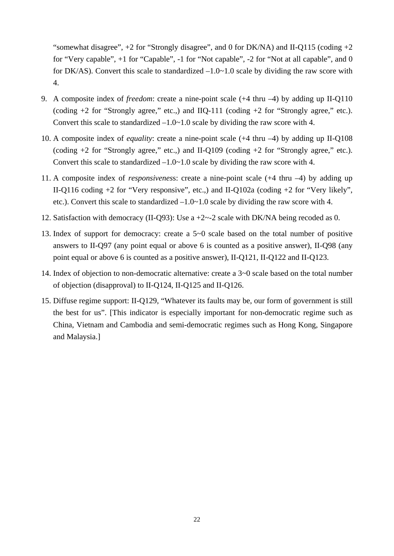"somewhat disagree",  $+2$  for "Strongly disagree", and 0 for DK/NA) and II-Q115 (coding  $+2$ for "Very capable", +1 for "Capable", -1 for "Not capable", -2 for "Not at all capable", and 0 for DK/AS). Convert this scale to standardized  $-1.0-1.0$  scale by dividing the raw score with 4.

- 9. A composite index of *freedom*: create a nine-point scale (+4 thru –4) by adding up II-Q110 (coding  $+2$  for "Strongly agree," etc.) and IIQ-111 (coding  $+2$  for "Strongly agree," etc.). Convert this scale to standardized  $-1.0 \times 1.0$  scale by dividing the raw score with 4.
- 10. A composite index of *equality*: create a nine-point scale (+4 thru –4) by adding up II-Q108 (coding  $+2$  for "Strongly agree," etc.) and II-Q109 (coding  $+2$  for "Strongly agree," etc.). Convert this scale to standardized  $-1.0 \sim 1.0$  scale by dividing the raw score with 4.
- 11. A composite index of *responsivenes*s: create a nine-point scale (+4 thru –4) by adding up II-Q116 coding +2 for "Very responsive", etc.,) and II-Q102a (coding +2 for "Very likely", etc.). Convert this scale to standardized –1.0~1.0 scale by dividing the raw score with 4.
- 12. Satisfaction with democracy (II-Q93): Use a +2~-2 scale with DK/NA being recoded as 0.
- 13. Index of support for democracy: create a 5~0 scale based on the total number of positive answers to II-Q97 (any point equal or above 6 is counted as a positive answer), II-Q98 (any point equal or above 6 is counted as a positive answer), II-Q121, II-Q122 and II-Q123.
- 14. Index of objection to non-democratic alternative: create a 3~0 scale based on the total number of objection (disapproval) to II-Q124, II-Q125 and II-Q126.
- 15. Diffuse regime support: II-Q129, "Whatever its faults may be, our form of government is still the best for us". [This indicator is especially important for non-democratic regime such as China, Vietnam and Cambodia and semi-democratic regimes such as Hong Kong, Singapore and Malaysia.]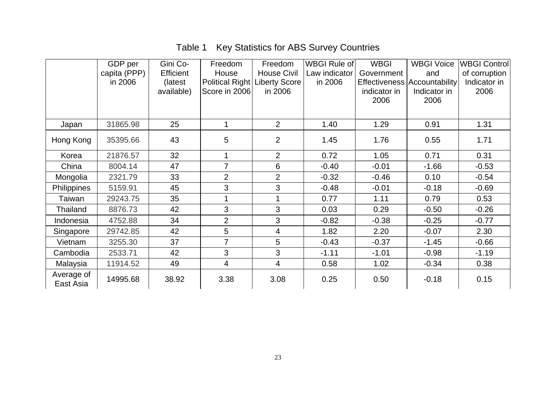# Table 1 Key Statistics for ABS Survey Countries

|                         | GDP per      | Gini Co-         | Freedom                       | Freedom            | WBGI Rule of  | <b>WBGI</b>  | <b>WBGI Voice</b>                   | <b>WBGI Control</b> |
|-------------------------|--------------|------------------|-------------------------------|--------------------|---------------|--------------|-------------------------------------|---------------------|
|                         | capita (PPP) | <b>Efficient</b> | House                         | <b>House Civil</b> | Law indicator | Government   | and                                 | of corruption       |
|                         | in 2006      | (latest)         | Political Right Liberty Score |                    | in 2006       |              | <b>Effectiveness Accountability</b> | Indicator in        |
|                         |              | available)       | Score in 2006                 | in 2006            |               | indicator in | Indicator in                        | 2006                |
|                         |              |                  |                               |                    |               | 2006         | 2006                                |                     |
|                         |              |                  |                               |                    |               |              |                                     |                     |
| Japan                   | 31865.98     | 25               | 1                             | $\overline{2}$     | 1.40          | 1.29         | 0.91                                | 1.31                |
| Hong Kong               | 35395.66     | 43               | 5                             | $\overline{2}$     | 1.45          | 1.76         | 0.55                                | 1.71                |
| Korea                   | 21876.57     | 32               | 1                             | $\overline{2}$     | 0.72          | 1.05         | 0.71                                | 0.31                |
| China                   | 8004.14      | 47               | $\overline{7}$                | 6                  | $-0.40$       | $-0.01$      | $-1.66$                             | $-0.53$             |
| Mongolia                | 2321.79      | 33               | $\overline{2}$                | $\overline{2}$     | $-0.32$       | $-0.46$      | 0.10                                | $-0.54$             |
| Philippines             | 5159.91      | 45               | 3                             | 3                  | $-0.48$       | $-0.01$      | $-0.18$                             | $-0.69$             |
| Taiwan                  | 29243.75     | 35               |                               |                    | 0.77          | 1.11         | 0.79                                | 0.53                |
| Thailand                | 8876.73      | 42               | 3                             | 3                  | 0.03          | 0.29         | $-0.50$                             | $-0.26$             |
| Indonesia               | 4752.88      | 34               | $\overline{2}$                | 3                  | $-0.82$       | $-0.38$      | $-0.25$                             | $-0.77$             |
| Singapore               | 29742.85     | 42               | 5                             | 4                  | 1.82          | 2.20         | $-0.07$                             | 2.30                |
| Vietnam                 | 3255.30      | 37               | 7                             | 5                  | $-0.43$       | $-0.37$      | $-1.45$                             | $-0.66$             |
| Cambodia                | 2533.71      | 42               | 3                             | 3                  | $-1.11$       | $-1.01$      | $-0.98$                             | $-1.19$             |
| Malaysia                | 11914.52     | 49               | 4                             | $\overline{4}$     | 0.58          | 1.02         | $-0.34$                             | 0.38                |
| Average of<br>East Asia | 14995.68     | 38.92            | 3.38                          | 3.08               | 0.25          | 0.50         | $-0.18$                             | 0.15                |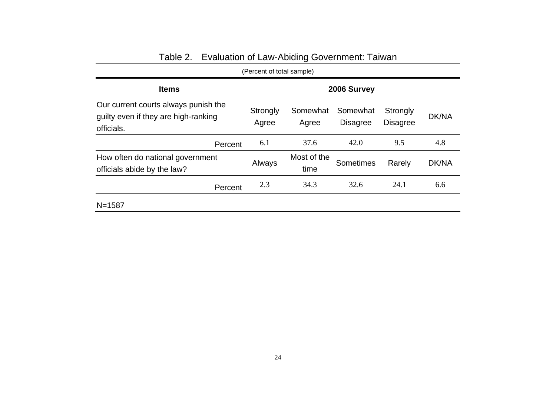|                                                                                            | (Percent of total sample) |                     |                             |                             |              |  |  |  |
|--------------------------------------------------------------------------------------------|---------------------------|---------------------|-----------------------------|-----------------------------|--------------|--|--|--|
| <b>Items</b>                                                                               |                           | 2006 Survey         |                             |                             |              |  |  |  |
| Our current courts always punish the<br>guilty even if they are high-ranking<br>officials. | Strongly<br>Agree         | Somewhat<br>Agree   | Somewhat<br><b>Disagree</b> | Strongly<br><b>Disagree</b> | <b>DK/NA</b> |  |  |  |
| Percent                                                                                    | 6.1                       | 37.6                | 42.0                        | 9.5                         | 4.8          |  |  |  |
| How often do national government<br>officials abide by the law?                            | Always                    | Most of the<br>time | Sometimes                   | Rarely                      | DK/NA        |  |  |  |
| Percent                                                                                    | 2.3                       | 34.3                | 32.6                        | 24.1                        | 6.6          |  |  |  |
| $N = 1587$                                                                                 |                           |                     |                             |                             |              |  |  |  |

# Table 2. Evaluation of Law-Abiding Government: Taiwan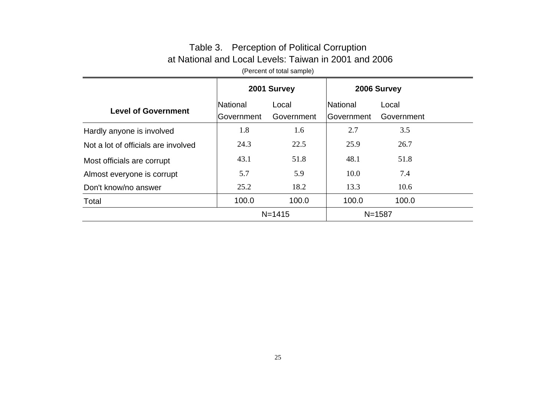# Table 3. Perception of Political Corruption at National and Local Levels: Taiwan in 2001 and 2006

(Percent of total sample)

|                                     | 2001 Survey |            | 2006 Survey       |            |  |
|-------------------------------------|-------------|------------|-------------------|------------|--|
| <b>Level of Government</b>          | National    | Local      | National          | Local      |  |
|                                     | Government  | Government | <b>Government</b> | Government |  |
| Hardly anyone is involved           | 1.8         | 1.6        | 2.7               | 3.5        |  |
| Not a lot of officials are involved | 24.3        | 22.5       | 25.9              | 26.7       |  |
| Most officials are corrupt          | 43.1        | 51.8       | 48.1              | 51.8       |  |
| Almost everyone is corrupt          | 5.7         | 5.9        | 10.0              | 7.4        |  |
| Don't know/no answer                | 25.2        | 18.2       | 13.3              | 10.6       |  |
| Total                               | 100.0       | 100.0      | 100.0             | 100.0      |  |
|                                     | $N = 1415$  |            | $N = 1587$        |            |  |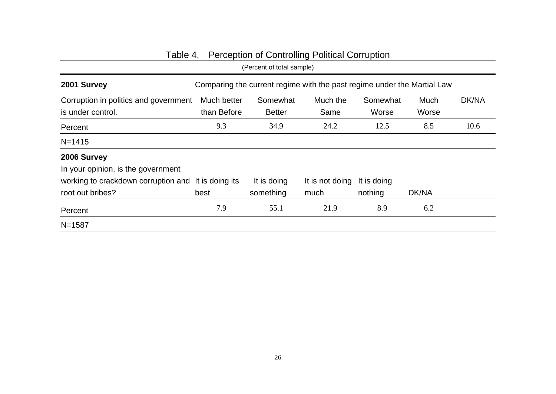|                                                                         |                            | (Percent of total sample) |                                                                         |                        |               |       |
|-------------------------------------------------------------------------|----------------------------|---------------------------|-------------------------------------------------------------------------|------------------------|---------------|-------|
| 2001 Survey                                                             |                            |                           | Comparing the current regime with the past regime under the Martial Law |                        |               |       |
| Corruption in politics and government<br>is under control.              | Much better<br>than Before | Somewhat<br><b>Better</b> | Much the<br>Same                                                        | Somewhat<br>Worse      | Much<br>Worse | DK/NA |
| Percent                                                                 | 9.3                        | 34.9                      | 24.2                                                                    | 12.5                   | 8.5           | 10.6  |
| $N = 1415$                                                              |                            |                           |                                                                         |                        |               |       |
| 2006 Survey<br>In your opinion, is the government                       |                            |                           |                                                                         |                        |               |       |
| working to crackdown corruption and It is doing its<br>root out bribes? | best                       | It is doing<br>something  | It is not doing<br>much                                                 | It is doing<br>nothing | DK/NA         |       |
| Percent                                                                 | 7.9                        | 55.1                      | 21.9                                                                    | 8.9                    | 6.2           |       |
| $N = 1587$                                                              |                            |                           |                                                                         |                        |               |       |

# Table 4. Perception of Controlling Political Corruption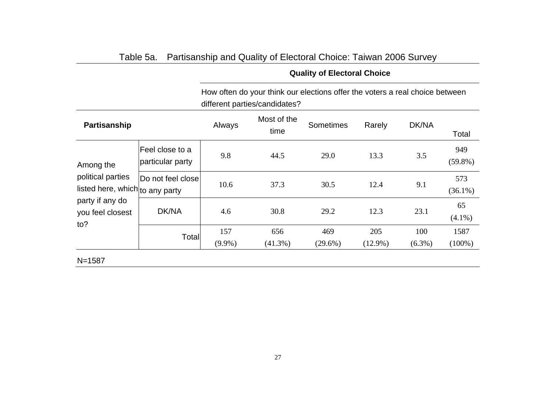|                                                      |                                     |                  | How often do your think our elections offer the voters a real choice between<br>different parties/candidates? |                   |                   |                  |                   |
|------------------------------------------------------|-------------------------------------|------------------|---------------------------------------------------------------------------------------------------------------|-------------------|-------------------|------------------|-------------------|
| Partisanship                                         |                                     | Always           | Most of the<br>time                                                                                           | <b>Sometimes</b>  | Rarely            | DK/NA            | Total             |
| Among the                                            | Feel close to a<br>particular party | 9.8              | 44.5                                                                                                          | 29.0              | 13.3              | 3.5              | 949<br>$(59.8\%)$ |
| political parties<br>listed here, which to any party | Do not feel close                   | 10.6             | 37.3                                                                                                          | 30.5              | 12.4              | 9.1              | 573<br>$(36.1\%)$ |
| party if any do<br>you feel closest<br>to?           | DK/NA                               | 4.6              | 30.8                                                                                                          | 29.2              | 12.3              | 23.1             | 65<br>$(4.1\%)$   |
|                                                      | Total                               | 157<br>$(9.9\%)$ | 656<br>$(41.3\%)$                                                                                             | 469<br>$(29.6\%)$ | 205<br>$(12.9\%)$ | 100<br>$(6.3\%)$ | 1587<br>$(100\%)$ |
| $N = 1587$                                           |                                     |                  |                                                                                                               |                   |                   |                  |                   |

# Table 5a. Partisanship and Quality of Electoral Choice: Taiwan 2006 Survey

**Quality of Electoral Choice**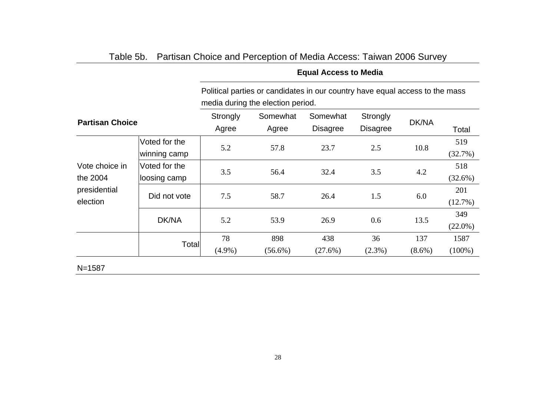|                                                        |                               | Political parties or candidates in our country have equal access to the mass<br>media during the election period. |                   |                             |                             |                  |                   |  |
|--------------------------------------------------------|-------------------------------|-------------------------------------------------------------------------------------------------------------------|-------------------|-----------------------------|-----------------------------|------------------|-------------------|--|
| <b>Partisan Choice</b>                                 |                               | Strongly<br>Agree                                                                                                 | Somewhat<br>Agree | Somewhat<br><b>Disagree</b> | Strongly<br><b>Disagree</b> | DK/NA            | Total             |  |
|                                                        | Voted for the<br>winning camp | 5.2                                                                                                               | 57.8              | 23.7                        | 2.5                         | 10.8             | 519<br>(32.7%)    |  |
| Vote choice in<br>the 2004<br>presidential<br>election | Voted for the<br>loosing camp | 3.5                                                                                                               | 56.4              | 32.4                        | 3.5                         | 4.2              | 518<br>$(32.6\%)$ |  |
|                                                        | Did not vote                  | 7.5                                                                                                               | 58.7              | 26.4                        | 1.5                         | 6.0              | 201<br>(12.7%)    |  |
|                                                        | DK/NA                         | 5.2                                                                                                               | 53.9              | 26.9                        | 0.6                         | 13.5             | 349<br>$(22.0\%)$ |  |
|                                                        | Total                         | 78<br>$(4.9\%)$                                                                                                   | 898<br>$(56.6\%)$ | 438<br>$(27.6\%)$           | 36<br>$(2.3\%)$             | 137<br>$(8.6\%)$ | 1587<br>$(100\%)$ |  |

# Table 5b. Partisan Choice and Perception of Media Access: Taiwan 2006 Survey

**Equal Access to Media** 

#### 28

N=1587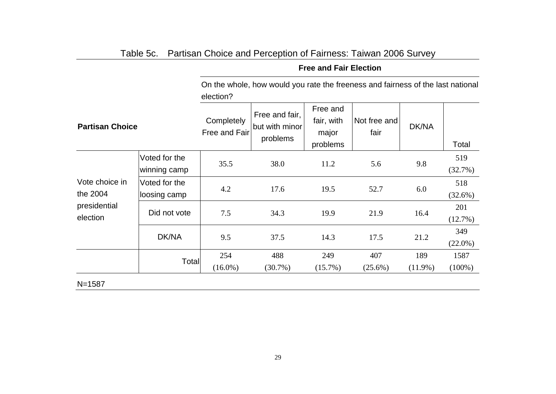|                            |                               | On the whole, how would you rate the freeness and fairness of the last national<br>election? |                                              |                                             |                      |                   |                   |  |  |
|----------------------------|-------------------------------|----------------------------------------------------------------------------------------------|----------------------------------------------|---------------------------------------------|----------------------|-------------------|-------------------|--|--|
| <b>Partisan Choice</b>     |                               | Completely<br>Free and Fair                                                                  | Free and fair,<br>but with minor<br>problems | Free and<br>fair, with<br>major<br>problems | Not free and<br>fair | DK/NA             | Total             |  |  |
|                            | Voted for the<br>winning camp | 35.5                                                                                         | 38.0                                         | 11.2                                        | 5.6                  | 9.8               | 519<br>(32.7%)    |  |  |
| Vote choice in<br>the 2004 | Voted for the<br>loosing camp | 4.2                                                                                          | 17.6                                         | 19.5                                        | 52.7                 | 6.0               | 518<br>(32.6%)    |  |  |
| presidential<br>election   | Did not vote                  | 7.5                                                                                          | 34.3                                         | 19.9                                        | 21.9                 | 16.4              | 201<br>(12.7%)    |  |  |
|                            | DK/NA                         | 9.5                                                                                          | 37.5                                         | 14.3                                        | 17.5                 | 21.2              | 349<br>$(22.0\%)$ |  |  |
| Total                      |                               | 254<br>$(16.0\%)$                                                                            | 488<br>$(30.7\%)$                            | 249<br>$(15.7\%)$                           | 407<br>$(25.6\%)$    | 189<br>$(11.9\%)$ | 1587<br>$(100\%)$ |  |  |

# Table 5c. Partisan Choice and Perception of Fairness: Taiwan 2006 Survey

**Free and Fair Election** 

#### 29

N=1587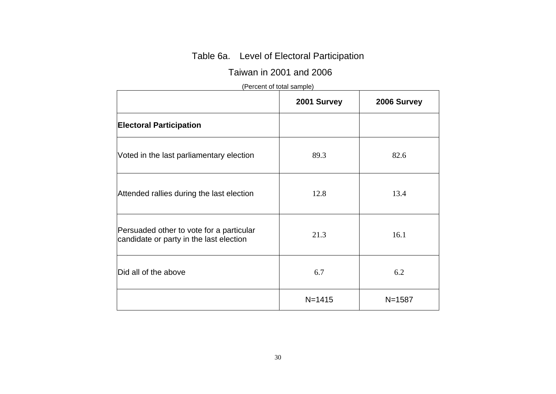# Table 6a. Level of Electoral Participation

## Taiwan in 2001 and 2006

# (Percent of total sample)

|                                                                                     | 2001 Survey | 2006 Survey |
|-------------------------------------------------------------------------------------|-------------|-------------|
| <b>Electoral Participation</b>                                                      |             |             |
| Voted in the last parliamentary election                                            | 89.3        | 82.6        |
| Attended rallies during the last election                                           | 12.8        | 13.4        |
| Persuaded other to vote for a particular<br>candidate or party in the last election | 21.3        | 16.1        |
| Did all of the above                                                                | 6.7         | 6.2         |
|                                                                                     | $N = 1415$  | $N = 1587$  |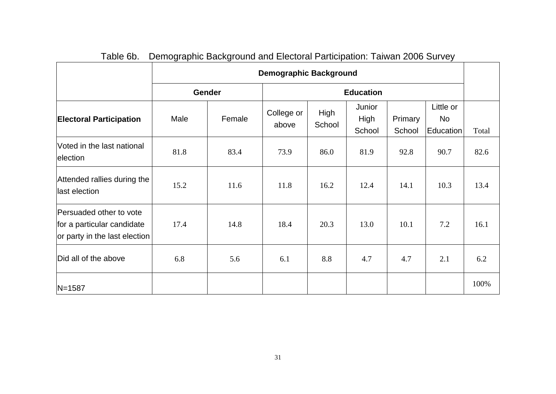|                                                                                        |      | <b>Demographic Background</b> |                     |                |                          |                   |                                     |       |
|----------------------------------------------------------------------------------------|------|-------------------------------|---------------------|----------------|--------------------------|-------------------|-------------------------------------|-------|
|                                                                                        |      | Gender                        |                     |                | <b>Education</b>         |                   |                                     |       |
| <b>Electoral Participation</b>                                                         | Male | Female                        | College or<br>above | High<br>School | Junior<br>High<br>School | Primary<br>School | Little or<br><b>No</b><br>Education | Total |
| Voted in the last national<br>election                                                 | 81.8 | 83.4                          | 73.9                | 86.0           | 81.9                     | 92.8              | 90.7                                | 82.6  |
| Attended rallies during the<br>last election                                           | 15.2 | 11.6                          | 11.8                | 16.2           | 12.4                     | 14.1              | 10.3                                | 13.4  |
| Persuaded other to vote<br>for a particular candidate<br>or party in the last election | 17.4 | 14.8                          | 18.4                | 20.3           | 13.0                     | 10.1              | 7.2                                 | 16.1  |
| Did all of the above                                                                   | 6.8  | 5.6                           | 6.1                 | 8.8            | 4.7                      | 4.7               | 2.1                                 | 6.2   |
| $N = 1587$                                                                             |      |                               |                     |                |                          |                   |                                     | 100%  |

Table 6b. Demographic Background and Electoral Participation: Taiwan 2006 Survey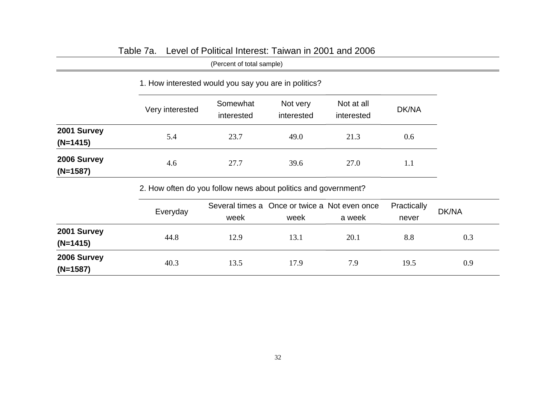|                           | (Percent of total sample) |                                                      |                        |                          |       |  |  |  |  |
|---------------------------|---------------------------|------------------------------------------------------|------------------------|--------------------------|-------|--|--|--|--|
|                           |                           | 1. How interested would you say you are in politics? |                        |                          |       |  |  |  |  |
|                           | Very interested           | Somewhat<br>interested                               | Not very<br>interested | Not at all<br>interested | DK/NA |  |  |  |  |
| 2001 Survey<br>$(N=1415)$ | 5.4                       | 23.7                                                 | 49.0                   | 21.3                     | 0.6   |  |  |  |  |
| 2006 Survey<br>$(N=1587)$ | 4.6                       | 27.7                                                 | 39.6                   | 27.0                     | 1.1   |  |  |  |  |

# Table 7a. Level of Political Interest: Taiwan in 2001 and 2006

2. How often do you follow news about politics and government?

|                           | Everyday | Several times a Once or twice a Not even once<br>week | week | a week | Practically<br>never | <b>DK/NA</b> |
|---------------------------|----------|-------------------------------------------------------|------|--------|----------------------|--------------|
| 2001 Survey<br>$(N=1415)$ | 44.8     | 12.9                                                  | 13.1 | 20.1   | 8.8                  | 0.3          |
| 2006 Survey<br>$(N=1587)$ | 40.3     | 13.5                                                  | 17.9 | 7.9    | 19.5                 | 0.9          |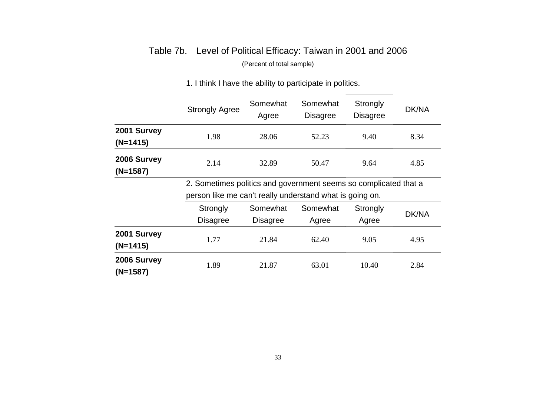|                           | (Percent of total sample)                                        |                                                           |                             |                      |       |  |  |  |  |  |  |
|---------------------------|------------------------------------------------------------------|-----------------------------------------------------------|-----------------------------|----------------------|-------|--|--|--|--|--|--|
|                           |                                                                  | 1. I think I have the ability to participate in politics. |                             |                      |       |  |  |  |  |  |  |
|                           | <b>Strongly Agree</b>                                            | Somewhat<br>Agree                                         | Somewhat<br><b>Disagree</b> | Strongly<br>Disagree | DK/NA |  |  |  |  |  |  |
| 2001 Survey<br>$(N=1415)$ | 1.98                                                             | 28.06                                                     | 52.23                       | 9.40                 | 8.34  |  |  |  |  |  |  |
| 2006 Survey<br>(N=1587)   | 2.14                                                             | 50.47                                                     | 9.64                        | 4.85                 |       |  |  |  |  |  |  |
|                           | 2. Sometimes politics and government seems so complicated that a |                                                           |                             |                      |       |  |  |  |  |  |  |
|                           | person like me can't really understand what is going on.         |                                                           |                             |                      |       |  |  |  |  |  |  |
|                           | Strongly                                                         | Somewhat                                                  | Somewhat                    | Strongly             |       |  |  |  |  |  |  |
|                           | <b>Disagree</b>                                                  | Disagree                                                  | Agree                       | Agree                | DK/NA |  |  |  |  |  |  |
| 2001 Survey<br>$(N=1415)$ | 1.77                                                             | 21.84                                                     | 62.40                       | 9.05                 | 4.95  |  |  |  |  |  |  |
| 2006 Survey<br>(N=1587)   | 1.89                                                             | 21.87                                                     | 63.01                       | 10.40                | 2.84  |  |  |  |  |  |  |

# Table 7b. Level of Political Efficacy: Taiwan in 2001 and 2006

33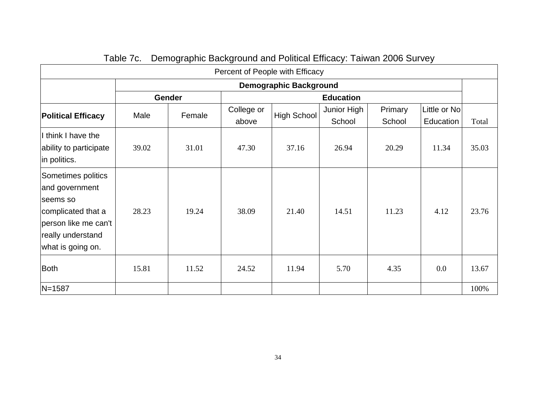| Percent of People with Efficacy                                                                                                          |       |               |                     |                    |                       |                   |                           |       |  |  |  |
|------------------------------------------------------------------------------------------------------------------------------------------|-------|---------------|---------------------|--------------------|-----------------------|-------------------|---------------------------|-------|--|--|--|
| <b>Demographic Background</b>                                                                                                            |       |               |                     |                    |                       |                   |                           |       |  |  |  |
|                                                                                                                                          |       | <b>Gender</b> | <b>Education</b>    |                    |                       |                   |                           |       |  |  |  |
| <b>Political Efficacy</b>                                                                                                                | Male  | Female        | College or<br>above | <b>High School</b> | Junior High<br>School | Primary<br>School | Little or No<br>Education | Total |  |  |  |
| I think I have the<br>ability to participate<br>in politics.                                                                             | 39.02 | 31.01         | 47.30               | 37.16              | 26.94                 | 20.29             | 11.34                     | 35.03 |  |  |  |
| Sometimes politics<br>and government<br>seems so<br>complicated that a<br>person like me can't<br>really understand<br>what is going on. | 28.23 | 19.24         | 38.09               | 21.40              | 14.51                 | 11.23             | 4.12                      | 23.76 |  |  |  |
| <b>Both</b>                                                                                                                              | 15.81 | 11.52         | 24.52               | 11.94              | 5.70                  | 4.35              | 0.0                       | 13.67 |  |  |  |
| $N = 1587$                                                                                                                               |       |               |                     |                    |                       |                   |                           | 100%  |  |  |  |

Table 7c. Demographic Background and Political Efficacy: Taiwan 2006 Survey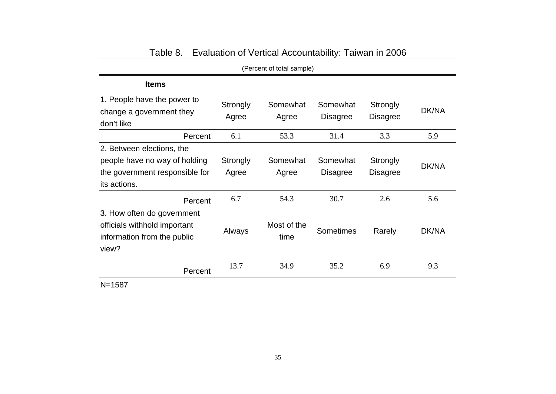| (Percent of total sample)                                                                                    |                   |                     |                             |                      |       |  |  |  |  |
|--------------------------------------------------------------------------------------------------------------|-------------------|---------------------|-----------------------------|----------------------|-------|--|--|--|--|
| <b>Items</b>                                                                                                 |                   |                     |                             |                      |       |  |  |  |  |
| 1. People have the power to<br>change a government they<br>don't like                                        | Strongly<br>Agree | Somewhat<br>Agree   | Somewhat<br><b>Disagree</b> | Strongly<br>Disagree | DK/NA |  |  |  |  |
| Percent                                                                                                      | 6.1               | 53.3                | 31.4                        | 3.3                  | 5.9   |  |  |  |  |
| 2. Between elections, the<br>people have no way of holding<br>the government responsible for<br>its actions. | Strongly<br>Agree | Somewhat<br>Agree   | Somewhat<br><b>Disagree</b> | Strongly<br>Disagree | DK/NA |  |  |  |  |
| Percent                                                                                                      | 6.7               | 54.3                | 30.7                        | 2.6                  | 5.6   |  |  |  |  |
| 3. How often do government<br>officials withhold important<br>information from the public<br>view?           | Always            | Most of the<br>time | Sometimes                   | Rarely               | DK/NA |  |  |  |  |
| Percent                                                                                                      | 13.7              | 34.9                | 35.2                        | 6.9                  | 9.3   |  |  |  |  |
| $N = 1587$                                                                                                   |                   |                     |                             |                      |       |  |  |  |  |

| Table 8. | Evaluation of Vertical Accountability: Taiwan in 2006 |  |  |  |  |
|----------|-------------------------------------------------------|--|--|--|--|
|----------|-------------------------------------------------------|--|--|--|--|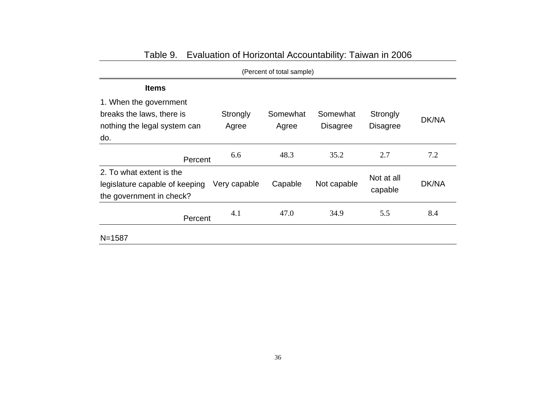| (Percent of total sample)                                                                  |                   |                   |                             |                             |       |  |  |  |  |
|--------------------------------------------------------------------------------------------|-------------------|-------------------|-----------------------------|-----------------------------|-------|--|--|--|--|
| <b>Items</b>                                                                               |                   |                   |                             |                             |       |  |  |  |  |
| 1. When the government<br>breaks the laws, there is<br>nothing the legal system can<br>do. | Strongly<br>Agree | Somewhat<br>Agree | Somewhat<br><b>Disagree</b> | Strongly<br><b>Disagree</b> | DK/NA |  |  |  |  |
| Percent                                                                                    | 6.6               | 48.3              | 35.2                        | 2.7                         | 7.2   |  |  |  |  |
| 2. To what extent is the<br>legislature capable of keeping<br>the government in check?     | Very capable      | Capable           | Not capable                 | Not at all<br>capable       | DK/NA |  |  |  |  |
| Percent                                                                                    | 4.1               | 47.0              | 34.9                        | 5.5                         | 8.4   |  |  |  |  |
| $N = 1587$                                                                                 |                   |                   |                             |                             |       |  |  |  |  |

# Table 9. Evaluation of Horizontal Accountability: Taiwan in 2006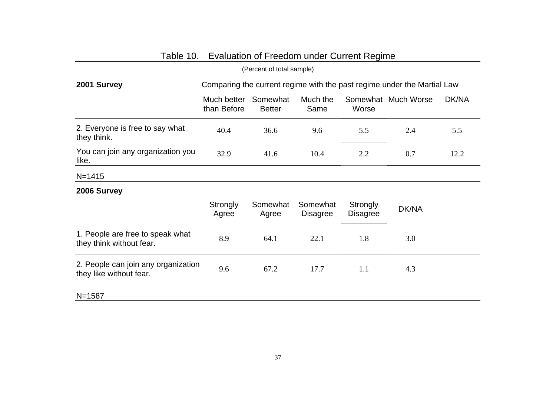|                                                                |                                                                         | (Percent of total sample) |                             |                             |                     |       |  |  |
|----------------------------------------------------------------|-------------------------------------------------------------------------|---------------------------|-----------------------------|-----------------------------|---------------------|-------|--|--|
| 2001 Survey                                                    | Comparing the current regime with the past regime under the Martial Law |                           |                             |                             |                     |       |  |  |
|                                                                | Much better<br>than Before                                              | Somewhat<br><b>Better</b> | Much the<br>Same            | Worse                       | Somewhat Much Worse | DK/NA |  |  |
| 2. Everyone is free to say what<br>they think.                 | 40.4                                                                    | 36.6                      | 9.6                         | 5.5                         | 2.4                 | 5.5   |  |  |
| You can join any organization you<br>like.                     | 32.9                                                                    | 41.6                      | 10.4                        | 2.2                         | 0.7                 | 12.2  |  |  |
| $N = 1415$                                                     |                                                                         |                           |                             |                             |                     |       |  |  |
| 2006 Survey                                                    |                                                                         |                           |                             |                             |                     |       |  |  |
|                                                                | Strongly<br>Agree                                                       | Somewhat<br>Agree         | Somewhat<br><b>Disagree</b> | Strongly<br><b>Disagree</b> | DK/NA               |       |  |  |
| 1. People are free to speak what<br>they think without fear.   | 8.9                                                                     | 64.1                      | 22.1                        | 1.8                         | 3.0                 |       |  |  |
| 2. People can join any organization<br>they like without fear. | 9.6                                                                     | 67.2                      | 17.7                        | 1.1                         | 4.3                 |       |  |  |
| $N = 1587$                                                     |                                                                         |                           |                             |                             |                     |       |  |  |

# Table 10. Evaluation of Freedom under Current Regime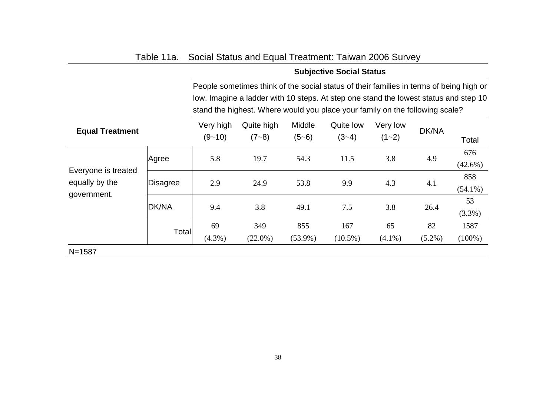|                                       |          |                         |                                                                                                                                                                      |                   | <b>Subjective Social Status</b> |                       |           |                   |  |  |  |
|---------------------------------------|----------|-------------------------|----------------------------------------------------------------------------------------------------------------------------------------------------------------------|-------------------|---------------------------------|-----------------------|-----------|-------------------|--|--|--|
|                                       |          |                         | People sometimes think of the social status of their families in terms of being high or                                                                              |                   |                                 |                       |           |                   |  |  |  |
|                                       |          |                         | low. Imagine a ladder with 10 steps. At step one stand the lowest status and step 10<br>stand the highest. Where would you place your family on the following scale? |                   |                                 |                       |           |                   |  |  |  |
| <b>Equal Treatment</b>                |          | Very high<br>$(9 - 10)$ | Quite high<br>$(7 - 8)$                                                                                                                                              | Middle<br>$(5-6)$ | Quite low<br>$(3-4)$            | Very low<br>$(1 - 2)$ | DK/NA     | Total             |  |  |  |
|                                       | Agree    | 5.8                     | 19.7                                                                                                                                                                 | 54.3              | 11.5                            | 3.8                   | 4.9       | 676<br>$(42.6\%)$ |  |  |  |
| Everyone is treated<br>equally by the | Disagree | 2.9                     | 24.9                                                                                                                                                                 | 53.8              | 9.9                             | 4.3                   | 4.1       | 858<br>$(54.1\%)$ |  |  |  |
| government.                           | DK/NA    | 9.4                     | 3.8                                                                                                                                                                  | 49.1              | 7.5                             | 3.8                   | 26.4      | 53<br>$(3.3\%)$   |  |  |  |
|                                       | Total    | 69                      | 349                                                                                                                                                                  | 855               | 167                             | 65                    | 82        | 1587              |  |  |  |
|                                       |          | $(4.3\%)$               | $(22.0\%)$                                                                                                                                                           | $(53.9\%)$        | $(10.5\%)$                      | $(4.1\%)$             | $(5.2\%)$ | $(100\%)$         |  |  |  |
| $N = 1587$                            |          |                         |                                                                                                                                                                      |                   |                                 |                       |           |                   |  |  |  |

# Table 11a. Social Status and Equal Treatment: Taiwan 2006 Survey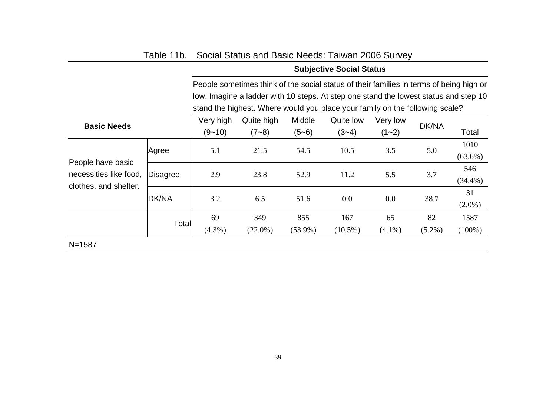|                                             |          | <b>Subjective Social Status</b> |                                                                                                                                                                                 |                   |                      |                       |           |                    |  |
|---------------------------------------------|----------|---------------------------------|---------------------------------------------------------------------------------------------------------------------------------------------------------------------------------|-------------------|----------------------|-----------------------|-----------|--------------------|--|
|                                             |          |                                 | People sometimes think of the social status of their families in terms of being high or<br>low. Imagine a ladder with 10 steps. At step one stand the lowest status and step 10 |                   |                      |                       |           |                    |  |
|                                             |          |                                 | stand the highest. Where would you place your family on the following scale?                                                                                                    |                   |                      |                       |           |                    |  |
| <b>Basic Needs</b>                          |          | Very high<br>$(9 - 10)$         | Quite high<br>$(7 - 8)$                                                                                                                                                         | Middle<br>$(5-6)$ | Quite low<br>$(3-4)$ | Very low<br>$(1 - 2)$ | DK/NA     | Total              |  |
|                                             | Agree    | 5.1                             | 21.5                                                                                                                                                                            | 54.5              | 10.5                 | 3.5                   | 5.0       | 1010<br>$(63.6\%)$ |  |
| People have basic<br>necessities like food, | Disagree | 2.9                             | 23.8                                                                                                                                                                            | 52.9              | 11.2                 | 5.5                   | 3.7       | 546<br>$(34.4\%)$  |  |
| clothes, and shelter.                       | DK/NA    | 3.2                             | 6.5                                                                                                                                                                             | 51.6              | 0.0                  | 0.0                   | 38.7      | 31<br>$(2.0\%)$    |  |
|                                             | Total    | 69                              | 349                                                                                                                                                                             | 855               | 167                  | 65                    | 82        | 1587               |  |
|                                             |          | $(4.3\%)$                       | $(22.0\%)$                                                                                                                                                                      | $(53.9\%)$        | $(10.5\%)$           | $(4.1\%)$             | $(5.2\%)$ | $(100\%)$          |  |
| $N = 1587$                                  |          |                                 |                                                                                                                                                                                 |                   |                      |                       |           |                    |  |

# Table 11b. Social Status and Basic Needs: Taiwan 2006 Survey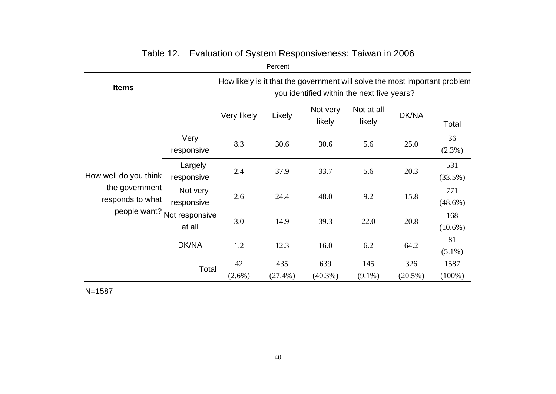|                                    |                          |                                                                                                                          | Percent           |                    |                      |                   |                   |  |  |
|------------------------------------|--------------------------|--------------------------------------------------------------------------------------------------------------------------|-------------------|--------------------|----------------------|-------------------|-------------------|--|--|
| <b>Items</b>                       |                          | How likely is it that the government will solve the most important problem<br>you identified within the next five years? |                   |                    |                      |                   |                   |  |  |
|                                    |                          | Very likely                                                                                                              | Likely            | Not very<br>likely | Not at all<br>likely | DK/NA             | Total             |  |  |
|                                    | Very<br>responsive       | 8.3                                                                                                                      | 30.6              | 30.6               | 5.6                  | 25.0              | 36<br>$(2.3\%)$   |  |  |
| How well do you think              | Largely<br>responsive    | 2.4                                                                                                                      | 37.9              | 33.7               | 5.6                  | 20.3              | 531<br>(33.5%)    |  |  |
| the government<br>responds to what | Not very<br>responsive   | 2.6                                                                                                                      | 24.4              | 48.0               | 9.2                  | 15.8              | 771<br>$(48.6\%)$ |  |  |
| people want?                       | Not responsive<br>at all | 3.0                                                                                                                      | 14.9              | 39.3               | 22.0                 | 20.8              | 168<br>$(10.6\%)$ |  |  |
|                                    | DK/NA                    | 1.2                                                                                                                      | 12.3              | 16.0               | 6.2                  | 64.2              | 81<br>$(5.1\%)$   |  |  |
|                                    | Total                    | 42<br>$(2.6\%)$                                                                                                          | 435<br>$(27.4\%)$ | 639<br>$(40.3\%)$  | 145<br>$(9.1\%)$     | 326<br>$(20.5\%)$ | 1587<br>$(100\%)$ |  |  |
| $N = 1587$                         |                          |                                                                                                                          |                   |                    |                      |                   |                   |  |  |

# Table 12. Evaluation of System Responsiveness: Taiwan in 2006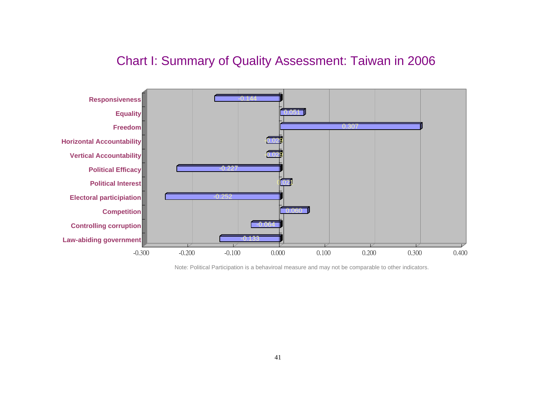# Chart I: Summary of Quality Assessment: Taiwan in 2006



Note: Political Participation is a behaviroal measure and may not be comparable to other indicators.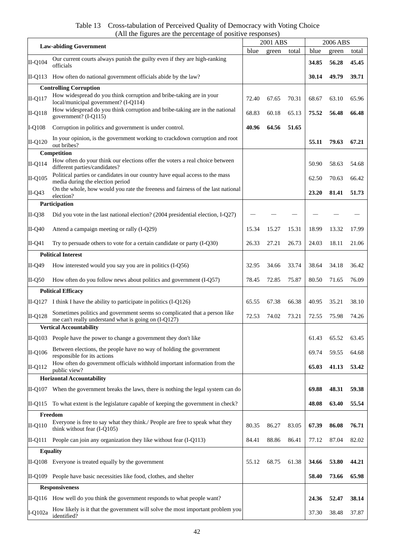Table 13 Cross-tabulation of Perceived Quality of Democracy with Voting Choice (All the figures are the percentage of positive responses)

|           | $\mathbf{u}$ of $\mathbf{u}$ of $\mathbf{u}$                                                                                      |       | 2001 ABS |       | 2006 ABS |       |       |
|-----------|-----------------------------------------------------------------------------------------------------------------------------------|-------|----------|-------|----------|-------|-------|
|           | <b>Law-abiding Government</b>                                                                                                     |       | green    | total | blue     | green | total |
| II-Q104   | Our current courts always punish the guilty even if they are high-ranking<br>officials                                            |       |          |       | 34.85    | 56.28 | 45.45 |
| II-Q113   | How often do national government officials abide by the law?                                                                      |       |          |       | 30.14    | 49.79 | 39.71 |
|           | <b>Controlling Corruption</b>                                                                                                     |       |          |       |          |       |       |
| $II-Q117$ | How widespread do you think corruption and bribe-taking are in your<br>local/municipal government? (I-Q114)                       | 72.40 | 67.65    | 70.31 | 68.67    | 63.10 | 65.96 |
| II-Q118   | How widespread do you think corruption and bribe-taking are in the national<br>government? (I-Q115)                               | 68.83 | 60.18    | 65.13 | 75.52    | 56.48 | 66.48 |
| $I-Q108$  | Corruption in politics and government is under control.                                                                           | 40.96 | 64.56    | 51.65 |          |       |       |
| $II-Q120$ | In your opinion, is the government working to crackdown corruption and root<br>out bribes?                                        |       |          |       | 55.11    | 79.63 | 67.21 |
|           | Competition                                                                                                                       |       |          |       |          |       |       |
| $II-Q114$ | How often do your think our elections offer the voters a real choice between<br>different parties/candidates?                     |       |          |       | 50.90    | 58.63 | 54.68 |
| II-Q105   | Political parties or candidates in our country have equal access to the mass<br>media during the election period                  |       |          |       | 62.50    | 70.63 | 66.42 |
| $II-Q43$  | On the whole, how would you rate the freeness and fairness of the last national<br>election?                                      |       |          |       | 23.20    | 81.41 | 51.73 |
|           | Participation                                                                                                                     |       |          |       |          |       |       |
| $II-Q38$  | Did you vote in the last national election? (2004 presidential election, I-Q27)                                                   |       |          |       |          |       |       |
| $II-Q40$  | Attend a campaign meeting or rally (I-Q29)                                                                                        | 15.34 | 15.27    | 15.31 | 18.99    | 13.32 | 17.99 |
| II-Q41    | Try to persuade others to vote for a certain candidate or party (I-Q30)                                                           | 26.33 | 27.21    | 26.73 | 24.03    | 18.11 | 21.06 |
|           | <b>Political Interest</b>                                                                                                         |       |          |       |          |       |       |
| II-Q49    | How interested would you say you are in politics (I-Q56)                                                                          | 32.95 | 34.66    | 33.74 | 38.64    | 34.18 | 36.42 |
| $II-Q50$  | How often do you follow news about politics and government (I-Q57)                                                                | 78.45 | 72.85    | 75.87 | 80.50    | 71.65 | 76.09 |
|           | <b>Political Efficacy</b>                                                                                                         |       |          |       |          |       |       |
|           | II-Q127 I think I have the ability to participate in politics $(I-Q126)$                                                          | 65.55 | 67.38    | 66.38 | 40.95    | 35.21 | 38.10 |
| $II-Q128$ | Sometimes politics and government seems so complicated that a person like<br>me can't really understand what is going on (I-Q127) | 72.53 | 74.02    | 73.21 | 72.55    | 75.98 | 74.26 |
|           | <b>Vertical Accountability</b>                                                                                                    |       |          |       |          |       |       |
|           | II-Q103 People have the power to change a government they don't like                                                              |       |          |       | 61.43    | 65.52 | 63.45 |
| II-Q106   | Between elections, the people have no way of holding the government<br>responsible for its actions                                |       |          |       | 69.74    | 59.55 | 64.68 |
| $II-Q112$ | How often do government officials withhold important information from the<br>public view?                                         |       |          |       | 65.03    | 41.13 | 53.42 |
|           | <b>Horizontal Accountability</b>                                                                                                  |       |          |       |          |       |       |
|           | II-Q107 When the government breaks the laws, there is nothing the legal system can do                                             |       |          |       | 69.88    | 48.31 | 59.38 |
|           | II-Q115 To what extent is the legislature capable of keeping the government in check?                                             |       |          |       | 48.08    | 63.40 | 55.54 |
|           | Freedom                                                                                                                           |       |          |       |          |       |       |
| $II-Q110$ | Everyone is free to say what they think./ People are free to speak what they<br>think without fear (I-Q105)                       | 80.35 | 86.27    | 83.05 | 67.39    | 86.08 | 76.71 |
| II-Q111   | People can join any organization they like without fear (I-Q113)                                                                  | 84.41 | 88.86    | 86.41 | 77.12    | 87.04 | 82.02 |
|           | <b>Equality</b>                                                                                                                   |       |          |       |          |       |       |
|           | II-Q108 Everyone is treated equally by the government                                                                             | 55.12 | 68.75    | 61.38 | 34.66    | 53.80 | 44.21 |
|           | II-Q109 People have basic necessities like food, clothes, and shelter                                                             |       |          |       | 58.40    | 73.66 | 65.98 |
|           | <b>Responsiveness</b>                                                                                                             |       |          |       |          |       |       |
|           | II-Q116 How well do you think the government responds to what people want?                                                        |       |          |       | 24.36    | 52.47 | 38.14 |
| I-Q102a   | How likely is it that the government will solve the most important problem you<br>identified?                                     |       |          |       | 37.30    | 38.48 | 37.87 |